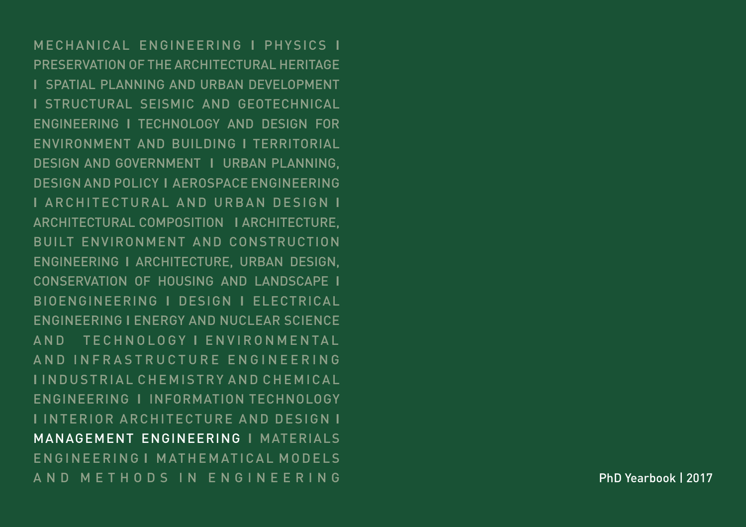MECHANICAL ENGINEERING **I** PHYSICS **I** PRESERVATION OF THE ARCHITECTURAL HERITAGE **I** SPATIAL PLANNING AND URBAN DEVELOPMENT **I** STRUCTURAL SEISMIC AND GEOTECHNICAL ENGINEERING **I** TECHNOLOGY AND DESIGN FOR ENVIRONMENT AND BUILDING **I** TERRITORIAL DESIGN AND GOVERNMENT **I** URBAN PLANNING, DESIGN AND POLICY **I** AEROSPACE ENGINEERING **I** ARCHITECTURAL AND URBAN DESIGN **I** ARCHITECTURAL COMPOSITION **I** ARCHITECTURE, BUILT ENVIRONMENT AND CONSTRUCTION ENGINEERING **I** ARCHITECTURE, URBAN DESIGN, CONSERVATION OF HOUSING AND LANDSCAPE **I** BIOENGINEERING **I** DESIGN **I** ELECTRICAL ENGINEERING **I** ENERGY AND NUCLEAR SCIENCE AND TECHNOLOGY I ENVIRONMENTAL A N D IN FRASTRUCTURE EN GINEERING **I** I N D U S T R I A L C H E M I S T R Y A N D C H E M I C A L ENGINEERING **I** INFORMATION TECHNOLOGY **I** INTERIOR ARCHITECTURE AND DESIGN **I** MANAGEMENT ENGINEERING **I** MATERIALS ENGINEERING I MATHEMATICAL MODELS AND METHODS IN ENGINEERING

PhD Yearbook | 2017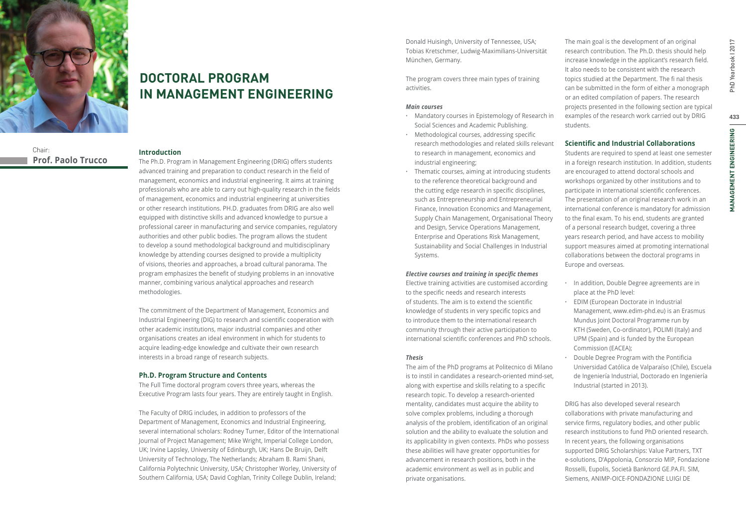

Chair:

**DOCTORAL PROGRAM IN MANAGEMENT ENGINEERING**

# **Prof. Paolo Trucco**

## **Introduction**

The Ph.D. Program in Management Engineering (DRIG) offers students advanced training and preparation to conduct research in the field of management, economics and industrial engineering. It aims at training professionals who are able to carry out high-quality research in the fields of management, economics and industrial engineering at universities or other research institutions. PH.D. graduates from DRIG are also well equipped with distinctive skills and advanced knowledge to pursue a professional career in manufacturing and service companies, regulatory authorities and other public bodies. The program allows the student to develop a sound methodological background and multidisciplinary knowledge by attending courses designed to provide a multiplicity of visions, theories and approaches, a broad cultural panorama. The program emphasizes the benefit of studying problems in an innovative manner, combining various analytical approaches and research methodologies.

The commitment of the Department of Management, Economics and Industrial Engineering (DIG) to research and scientific cooperation with other academic institutions, major industrial companies and other organisations creates an ideal environment in which for students to acquire leading-edge knowledge and cultivate their own research interests in a broad range of research subjects.

## **Ph.D. Program Structure and Contents**

The Full Time doctoral program covers three years, whereas the Executive Program lasts four years. They are entirely taught in English.

The Faculty of DRIG includes, in addition to professors of the Department of Management, Economics and Industrial Engineering, several international scholars: Rodney Turner, Editor of the International Journal of Project Management; Mike Wright, Imperial College London, UK; Irvine Lapsley, University of Edinburgh, UK; Hans De Bruijn, Delft University of Technology, The Netherlands; Abraham B. Rami Shani, California Polytechnic University, USA; Christopher Worley, University of Southern California, USA; David Coghlan, Trinity College Dublin, Ireland;

Donald Huisingh, University of Tennessee, USA; Tobias Kretschmer, Ludwig-Maximilians-Universität München, Germany.

The program covers three main types of training activities.

## *Main courses*

- **·** Mandatory courses in Epistemology of Research in Social Sciences and Academic Publishing.
- **·** Methodological courses, addressing specific research methodologies and related skills relevant to research in management, economics and industrial engineering;
- **·** Thematic courses, aiming at introducing students to the reference theoretical background and the cutting edge research in specific disciplines, such as Entrepreneurship and Entrepreneurial Finance, Innovation Economics and Management, Supply Chain Management, Organisational Theory and Design, Service Operations Management, Enterprise and Operations Risk Management, Sustainability and Social Challenges in Industrial Systems.

## *Elective courses and training in specific themes*

Elective training activities are customised according to the specific needs and research interests of students. The aim is to extend the scientific knowledge of students in very specific topics and to introduce them to the international research community through their active participation to international scientific conferences and PhD schools.

## *Thesis*

The aim of the PhD programs at Politecnico di Milano is to instil in candidates a research-oriented mind-set, along with expertise and skills relating to a specific research topic. To develop a research-oriented mentality, candidates must acquire the ability to solve complex problems, including a thorough analysis of the problem, identification of an original solution and the ability to evaluate the solution and its applicability in given contexts. PhDs who possess these abilities will have greater opportunities for advancement in research positions, both in the academic environment as well as in public and private organisations.

The main goal is the development of an original research contribution. The Ph.D. thesis should help increase knowledge in the applicant's research field. It also needs to be consistent with the research topics studied at the Department. The fi nal thesis can be submitted in the form of either a monograph or an edited compilation of papers. The research projects presented in the following section are typical examples of the research work carried out by DRIG students.

## **Scientific and Industrial Collaborations**

Students are required to spend at least one semester in a foreign research institution. In addition, students are encouraged to attend doctoral schools and workshops organized by other institutions and to participate in international scientific conferences. The presentation of an original research work in an international conference is mandatory for admission to the final exam. To his end, students are granted of a personal research budget, covering a three years research period, and have access to mobility support measures aimed at promoting international collaborations between the doctoral programs in Europe and overseas.

- **·** In addition, Double Degree agreements are in place at the PhD level:
- **·** EDIM (European Doctorate in Industrial Management, www.edim-phd.eu) is an Erasmus Mundus Joint Doctoral Programme run by KTH (Sweden, Co-ordinator), POLIMI (Italy) and UPM (Spain) and is funded by the European Commission (EACEA);
- **Pouble Degree Program with the Pontificia** Universidad Católica de Valparaíso (Chile), Escuela de Ingeniería Industrial, Doctorado en Ingeniería Industrial (started in 2013).

DRIG has also developed several research collaborations with private manufacturing and service firms, regulatory bodies, and other public research institutions to fund PhD oriented research. In recent years, the following organisations supported DRIG Scholarships: Value Partners, TXT e-solutions, D'Appolonia, Consorzio MIP, Fondazione Rosselli, Eupolis, Società Banknord GE.PA.FI. SIM, Siemens, ANIMP-OICE-FONDAZIONE LUIGI DE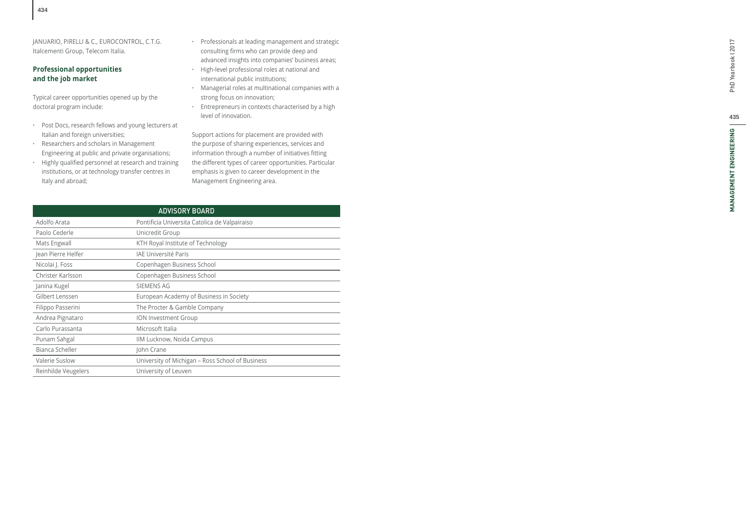JANUARIO, PIRELLI & C., EUROCONTROL, C.T.G. Italcementi Group, Telecom Italia.

## **Professional opportunities and the job market**

Typical career opportunities opened up by the doctoral program include:

- **·** Post Docs, research fellows and young lecturers at Italian and foreign universities;
- **·** Researchers and scholars in Management Engineering at public and private organisations;
- **·** Highly quali fi ed personnel at research and training institutions, or at technology transfer centres in Italy and abroad;
- **·** Professionals at leading management and strategic consulting fi rms who can provide deep and advanced insights into companies' business areas;
- **·** High-level professional roles at national and international public institutions;
- **·** Managerial roles at multinational companies with a strong focus on innovation;
- **·** Entrepreneurs in contexts characterised by a high level of innovation.

Support actions for placement are provided with the purpose of sharing experiences, services and information through a number of initiatives fi tting the different types of career opportunities. Particular emphasis is given to career development in the Management Engineering area.

| <b>ADVISORY BOARD</b>                            |  |  |  |  |  |
|--------------------------------------------------|--|--|--|--|--|
| Pontificia Universita Catolica de Valpairaiso    |  |  |  |  |  |
| Unicredit Group                                  |  |  |  |  |  |
| KTH Royal Institute of Technology                |  |  |  |  |  |
| <b>IAE Université Paris</b>                      |  |  |  |  |  |
| Copenhagen Business School                       |  |  |  |  |  |
| Copenhagen Business School                       |  |  |  |  |  |
| <b>SIEMENS AG</b>                                |  |  |  |  |  |
| European Academy of Business in Society          |  |  |  |  |  |
| The Procter & Gamble Company                     |  |  |  |  |  |
| <b>ION Investment Group</b>                      |  |  |  |  |  |
| Microsoft Italia                                 |  |  |  |  |  |
| IIM Lucknow, Noida Campus                        |  |  |  |  |  |
| John Crane                                       |  |  |  |  |  |
| University of Michigan - Ross School of Business |  |  |  |  |  |
| University of Leuven                             |  |  |  |  |  |
|                                                  |  |  |  |  |  |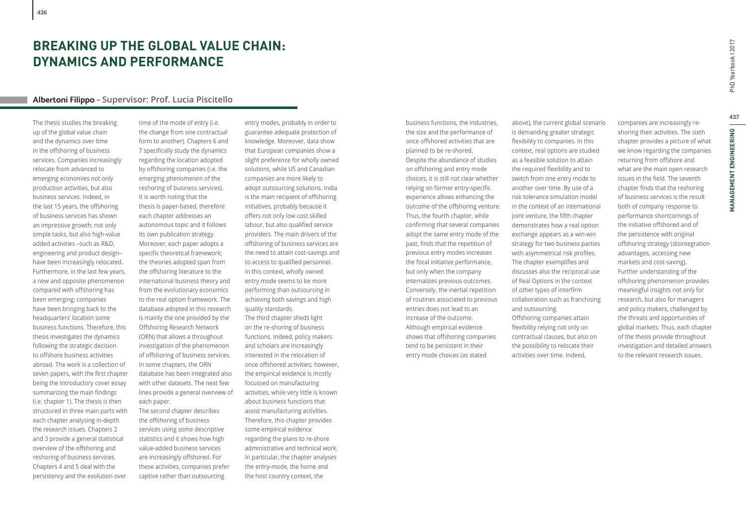# **BREAKING UP THE GLOBAL VALUE CHAIN: DYNAMICS AND PERFORMANCE**

## **Albertoni Filippo – Supervisor: Prof. Lucia Piscitello**

The thesis studies the breaking up of the global value chain and the dynamics over time in the offshoring of business services. Companies increasingly relocate from advanced to emerging economies not only production activities, but also business services. Indeed, in the last 15 years, the offshoring of business services has shown an impressive growth; not only simple tasks, but also high-value added activities –such as R&D, engineering and product design– have been increasingly relocated. Furthermore, in the last few years, a new and opposite phenomenon compared with offshoring has been emerging; companies have been bringing back to the headquarters' location some business functions. Therefore, this thesis investigates the dynamics following the strategic decision to offshore business activities abroad. The work is a collection of seven papers, with the first chapter being the introductory cover essay summarizing the main findings (i.e. chapter 1). The thesis is then structured in three main parts with each chapter analysing in-depth the research issues. Chapters 2 and 3 provide a general statistical overview of the offshoring and reshoring of business services. Chapters 4 and 5 deal with the persistency and the evolution over

time of the mode of entry (i.e. the change from one contractual form to another). Chapters 6 and 7 specifically study the dynamics regarding the location adopted by offshoring companies (i.e. the emerging phenomenon of the reshoring of business services). It is worth noting that the thesis is paper-based, therefore each chapter addresses an autonomous topic and it follows its own publication strategy. Moreover, each paper adopts a specific theoretical framework; the theories adopted span from the offshoring literature to the international business theory and from the evolutionary economics to the real option framework. The database adopted in this research is mainly the one provided by the Offshoring Research Network (ORN) that allows a throughout investigation of the phenomenon of offshoring of business services. In some chapters, the ORN database has been integrated also with other datasets. The next few lines provide a general overview of each paper. The second chapter describes the offshoring of business services using some descriptive statistics and it shows how high value-added business services are increasingly offshored. For these activities, companies prefer

captive rather than outsourcing

entry modes, probably in order to guarantee adequate protection of knowledge. Moreover, data show that European companies show a slight preference for wholly owned solutions, while US and Canadian companies are more likely to adopt outsourcing solutions. India is the main recipient of offshoring initiatives, probably because it offers not only low cost skilled labour, but also qualified service providers. The main drivers of the offshoring of business services are the need to attain cost-savings and to access to qualified personnel. In this context, wholly owned entry mode seems to be more performing than outsourcing in achieving both savings and high quality standards. The third chapter sheds light on the re-shoring of business functions. Indeed, policy makers and scholars are increasingly interested in the relocation of once offshored activities; however, the empirical evidence is mostly focussed on manufacturing activities, while very little is known about business functions that assist manufacturing activities. Therefore, this chapter provides some empirical evidence regarding the plans to re-shore administrative and technical work. In particular, the chapter analyses the entry-mode, the home and the host country context, the

business functions, the industries, the size and the performance of once offshored activities that are planned to be re-shored. Despite the abundance of studies on offshoring and entry mode choices, it is still not clear whether relying on former entry-specific experience allows enhancing the outcome of the offshoring venture. Thus, the fourth chapter, while confirming that several companies adopt the same entry mode of the past, finds that the repetition of previous entry modes increases the focal initiative performance, but only when the company internalizes previous outcomes. Conversely, the inertial repetition of routines associated to previous entries does not lead to an increase of the outcome. Although empirical evidence shows that offshoring companies tend to be persistent in their entry mode choices (as stated

above), the current global scenario is demanding greater strategic flexibility to companies. In this context, real options are studied as a feasible solution to attain the required flexibility and to switch from one entry mode to another over time. By use of a risk tolerance simulation model in the context of an international joint venture, the fifth chapter demonstrates how a real option exchange appears as a win-win strategy for two business parties with asymmetrical risk profiles. The chapter exemplifies and discusses also the reciprocal use of Real Options in the context of other types of interfirm collaboration such as franchising and outsourcing. Offshoring companies attain flexibility relying not only on contractual clauses, but also on the possibility to relocate their activities over time. Indeed,

companies are increasingly reshoring their activities. The sixth chapter provides a picture of what we know regarding the companies returning from offshore and what are the main open research issues in the field. The seventh chapter finds that the reshoring of business services is the result both of company response to performance shortcomings of the initiative offshored and of the persistence with original offshoring strategy (disintegration advantages, accessing new markets and cost-saving). Further understanding of the offshoring phenomenon provides meaningful insights not only for research, but also for managers and policy makers, challenged by the threats and opportunities of global markets. Thus, each chapter of the thesis provide throughout investigation and detailed answers to the relevant research issues.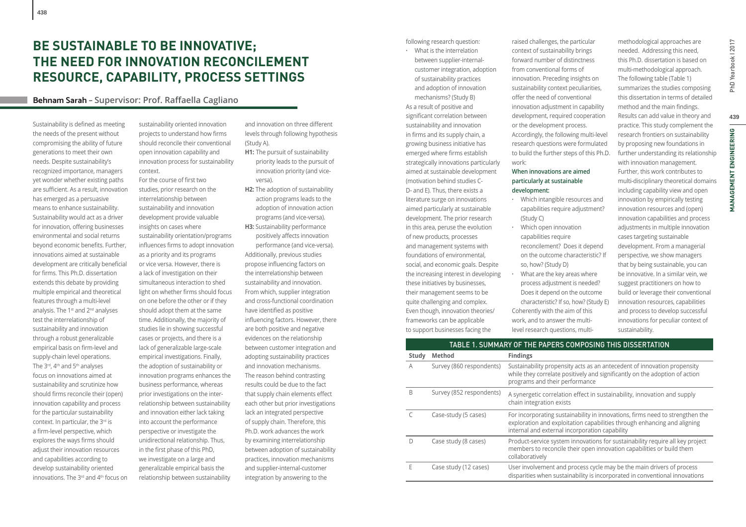# **BE SUSTAINABLE TO BE INNOVATIVE; THE NEED FOR INNOVATION RECONCILEMENT RESOURCE, CAPABILITY, PROCESS SETTINGS**

## **Behnam Sarah – Supervisor: Prof. Raff aella Cagliano**

Sustainability is defined as meeting the needs of the present without compromising the ability of future generations to meet their own needs. Despite sustainability's recognized importance, managers yet wonder whether existing paths are sufficient. As a result, innovation has emerged as a persuasive means to enhance sustainability. Sustainability would act as a driver for innovation, offering businesses environmental and social returns beyond economic benefits. Further, innovations aimed at sustainable development are critically beneficial for firms. This Ph.D. dissertation extends this debate by providing multiple empirical and theoretical features through a multi-level analysis. The 1<sup>st</sup> and 2<sup>nd</sup> analyses test the interrelationship of sustainability and innovation through a robust generalizable empirical basis on firm-level and supply-chain level operations. The 3<sup>rd</sup>, 4<sup>th</sup> and 5<sup>th</sup> analyses focus on innovations aimed at sustainability and scrutinize how should firms reconcile their (open) innovation capability and process for the particular sustainability context. In particular, the 3rd is a firm-level perspective, which explores the ways firms should adjust their innovation resources and capabilities according to develop sustainability oriented innovations. The 3rd and 4th focus on

sustainability oriented innovation projects to understand how firms should reconcile their conventional open innovation capability and innovation process for sustainability context.

For the course of first two studies, prior research on the interrelationship between sustainability and innovation development provide valuable insights on cases where sustainability orientation/programs influences firms to adopt innovation as a priority and its programs or vice versa. However, there is a lack of investigation on their simultaneous interaction to shed light on whether firms should focus on one before the other or if they should adopt them at the same time. Additionally, the majority of studies lie in showing successful cases or projects, and there is a lack of generalizable large-scale empirical investigations. Finally, the adoption of sustainability or innovation programs enhances the business performance, whereas prior investigations on the interrelationship between sustainability and innovation either lack taking into account the performance perspective or investigate the unidirectional relationship. Thus, in the first phase of this PhD, we investigate on a large and generalizable empirical basis the relationship between sustainability

and innovation on three different levels through following hypothesis (Study A).

- **H1:** The pursuit of sustainability priority leads to the pursuit of innovation priority (and viceversa).
- **H2:** The adoption of sustainability action programs leads to the adoption of innovation action programs (and vice-versa).
- **H3:** Sustainability performance positively affects innovation performance (and vice-versa). Additionally, previous studies propose influencing factors on the interrelationship between sustainability and innovation. From which, supplier integration and cross-functional coordination have identified as positive influencing factors. However, there are both positive and negative evidences on the relationship between customer integration and adopting sustainability practices and innovation mechanisms. The reason behind contrasting results could be due to the fact that supply chain elements effect each other but prior investigations lack an integrated perspective of supply chain. Therefore, this Ph.D. work advances the work by examining interrelationship between adoption of sustainability practices, innovation mechanisms and supplier-internal-customer integration by answering to the

following research question:

**·** What is the interrelation between supplier-internalcustomer integration, adoption of sustainability practices and adoption of innovation mechanisms? (Study B) As a result of positive and significant correlation between sustainability and innovation in firms and its supply chain, a growing business initiative has emerged where firms establish strategically innovations particularly aimed at sustainable development (motivation behind studies C-D- and E). Thus, there exists a literature surge on innovations aimed particularly at sustainable development. The prior research in this area, peruse the evolution of new products, processes and management systems with foundations of environmental, social, and economic goals. Despite the increasing interest in developing these initiatives by businesses, their management seems to be quite challenging and complex. Even though, innovation theories/ frameworks can be applicable to support businesses facing the

raised challenges, the particular context of sustainability brings forward number of distinctness from conventional forms of innovation. Preceding insights on sustainability context peculiarities, offer the need of conventional innovation adjustment in capability development, required cooperation or the development process. Accordingly, the following multi-level research questions were formulated to build the further steps of this Ph.D. work:

## **When innovations are aimed particularly at sustainable development:**

- **·** Which intangible resources and capabilities require adjustment? (Study C)
- **·** Which open innovation capabilities require reconcilement? Does it depend on the outcome characteristic? If so, how? (Study D) **·** What are the key areas where
- process adjustment is needed? Does it depend on the outcome characteristic? If so, how? (Study E) Coherently with the aim of this work, and to answer the multilevel research questions, multi-

needed. Addressing this need, this Ph.D. dissertation is based on multi-methodological approach. The following table (Table 1) summarizes the studies composing this dissertation in terms of detailed method and the main findings. Results can add value in theory and practice. This study complement the research frontiers on sustainability by proposing new foundations in further understanding its relationship with innovation management. Further, this work contributes to multi-disciplinary theoretical domains including capability view and open innovation by empirically testing innovation resources and (open) innovation capabilities and process adjustments in multiple innovation cases targeting sustainable development. From a managerial perspective, we show managers that by being sustainable, you can be innovative. In a similar vein, we suggest practitioners on how to build or leverage their conventional innovation resources, capabilities and process to develop successful innovations for peculiar context of sustainability.

methodological approaches are

|       | TABLE 1. SUMMARY OF THE PAPERS COMPOSING THIS DISSERTATION |                                                                                                                                                                                                             |  |  |  |  |
|-------|------------------------------------------------------------|-------------------------------------------------------------------------------------------------------------------------------------------------------------------------------------------------------------|--|--|--|--|
| Study | <b>Method</b>                                              | <b>Findings</b>                                                                                                                                                                                             |  |  |  |  |
| А     | Survey (860 respondents)                                   | Sustainability propensity acts as an antecedent of innovation propensity<br>while they correlate positively and significantly on the adoption of action<br>programs and their performance                   |  |  |  |  |
| B     | Survey (852 respondents)                                   | A synergetic correlation effect in sustainability, innovation and supply<br>chain integration exists                                                                                                        |  |  |  |  |
| C     | Case-study (5 cases)                                       | For incorporating sustainability in innovations, firms need to strengthen the<br>exploration and exploitation capabilities through enhancing and aligning<br>internal and external incorporation capability |  |  |  |  |
| D     | Case study (8 cases)                                       | Product-service system innovations for sustainability require all key project<br>members to reconcile their open innovation capabilities or build them<br>collaboratively                                   |  |  |  |  |
| E     | Case study (12 cases)                                      | User involvement and process cycle may be the main drivers of process<br>disparities when sustainability is incorporated in conventional innovations                                                        |  |  |  |  |
|       |                                                            |                                                                                                                                                                                                             |  |  |  |  |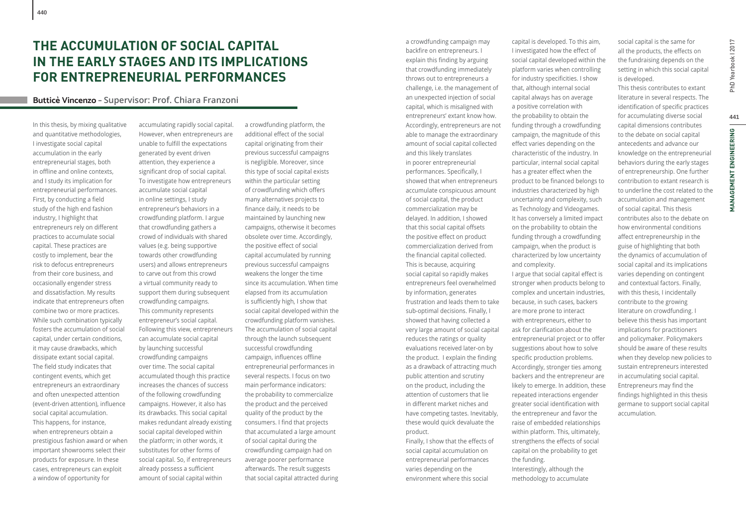# **THE ACCUMULATION OF SOCIAL CAPITAL IN THE EARLY STAGES AND ITS IMPLICATIONS FOR ENTREPRENEURIAL PERFORMANCES**

## **Butticè Vincenzo – Supervisor: Prof. Chiara Franzoni**

In this thesis, by mixing qualitative and quantitative methodologies, I investigate social capital accumulation in the early entrepreneurial stages, both in offline and online contexts, and I study its implication for entrepreneurial performances. First, by conducting a field study of the high end fashion industry, I highlight that entrepreneurs rely on different practices to accumulate social capital. These practices are costly to implement, bear the risk to defocus entrepreneurs from their core business, and occasionally engender stress and dissatisfaction. My results indicate that entrepreneurs often combine two or more practices. While such combination typically fosters the accumulation of social capital, under certain conditions, it may cause drawbacks, which dissipate extant social capital. The field study indicates that contingent events, which get entrepreneurs an extraordinary and often unexpected attention (event-driven attention), influence social capital accumulation. This happens, for instance, when entrepreneurs obtain a prestigious fashion award or when important showrooms select their products for exposure. In these cases, entrepreneurs can exploit a window of opportunity for

accumulating rapidly social capital. However, when entrepreneurs are unable to fulfill the expectations generated by event driven attention, they experience a significant drop of social capital. To investigate how entrepreneurs accumulate social capital in online settings, I study entrepreneur's behaviors in a crowdfunding platform. I argue that crowdfunding gathers a crowd of individuals with shared values (e.g. being supportive towards other crowdfunding users) and allows entrepreneurs to carve out from this crowd a virtual community ready to support them during subsequent crowdfunding campaigns. This community represents entrepreneur's social capital. Following this view, entrepreneurs can accumulate social capital by launching successful crowdfunding campaigns over time. The social capital accumulated though this practice increases the chances of success of the following crowdfunding campaigns. However, it also has its drawbacks. This social capital makes redundant already existing social capital developed within the platform; in other words, it substitutes for other forms of social capital. So, if entrepreneurs already possess a sufficient amount of social capital within

a crowdfunding platform, the additional effect of the social capital originating from their previous successful campaigns is negligible. Moreover, since this type of social capital exists within the particular setting of crowdfunding which offers many alternatives projects to finance daily, it needs to be maintained by launching new campaigns, otherwise it becomes obsolete over time. Accordingly, the positive effect of social capital accumulated by running previous successful campaigns weakens the longer the time since its accumulation. When time elapsed from its accumulation is sufficiently high, I show that social capital developed within the crowdfunding platform vanishes. The accumulation of social capital through the launch subsequent successful crowdfunding campaign, influences offline entrepreneurial performances in several respects. I focus on two main performance indicators: the probability to commercialize the product and the perceived quality of the product by the consumers. I find that projects that accumulated a large amount of social capital during the crowdfunding campaign had on average poorer performance afterwards. The result suggests that social capital attracted during

a crowdfunding campaign may backfire on entrepreneurs. I explain this finding by arguing that crowdfunding immediately throws out to entrepreneurs a challenge, i.e. the management of an unexpected injection of social capital, which is misaligned with entrepreneurs' extant know how. Accordingly, entrepreneurs are not able to manage the extraordinary amount of social capital collected and this likely translates in poorer entrepreneurial performances. Specifically, I showed that when entrepreneurs accumulate conspicuous amount of social capital, the product commercialization may be delayed. In addition, I showed that this social capital offsets the positive effect on product commercialization derived from the financial capital collected. This is because, acquiring social capital so rapidly makes entrepreneurs feel overwhelmed by information, generates frustration and leads them to take sub-optimal decisions. Finally, I showed that having collected a very large amount of social capital reduces the ratings or quality evaluations received later-on by the product. I explain the finding as a drawback of attracting much public attention and scrutiny on the product, including the attention of customers that lie in different market niches and have competing tastes. Inevitably, these would quick devaluate the product. Finally, I show that the effects of social capital accumulation on entrepreneurial performances varies depending on the environment where this social

capital is developed. To this aim, I investigated how the effect of social capital developed within the platform varies when controlling for industry specificities. I show that, although internal social capital always has on average a positive correlation with the probability to obtain the funding through a crowdfunding campaign, the magnitude of this effect varies depending on the characteristic of the industry. In particular, internal social capital has a greater effect when the product to be financed belongs to industries characterized by high uncertainty and complexity, such as Technology and Videogames. It has conversely a limited impact on the probability to obtain the funding through a crowdfunding campaign, when the product is characterized by low uncertainty and complexity. I argue that social capital effect is stronger when products belong to complex and uncertain industries, because, in such cases, backers are more prone to interact with entrepreneurs, either to

ask for clarification about the entrepreneurial project or to offer suggestions about how to solve specific production problems. Accordingly, stronger ties among backers and the entrepreneur are likely to emerge. In addition, these repeated interactions engender greater social identification with the entrepreneur and favor the raise of embedded relationships within platform. This, ultimately, strengthens the effects of social capital on the probability to get the funding. Interestingly, although the

methodology to accumulate

social capital is the same for all the products, the effects on the fundraising depends on the setting in which this social capital is developed.

This thesis contributes to extant literature in several respects. The identification of specific practices for accumulating diverse social capital dimensions contributes to the debate on social capital antecedents and advance our knowledge on the entrepreneurial behaviors during the early stages of entrepreneurship. One further contribution to extant research is to underline the cost related to the accumulation and management of social capital. This thesis contributes also to the debate on how environmental conditions affect entrepreneurship in the guise of highlighting that both the dynamics of accumulation of social capital and its implications varies depending on contingent and contextual factors. Finally, with this thesis, I incidentally contribute to the growing literature on crowdfunding. I believe this thesis has important implications for practitioners and policymaker. Policymakers should be aware of these results when they develop new policies to sustain entrepreneurs interested in accumulating social capital. Entrepreneurs may find the findings highlighted in this thesis germane to support social capital accumulation.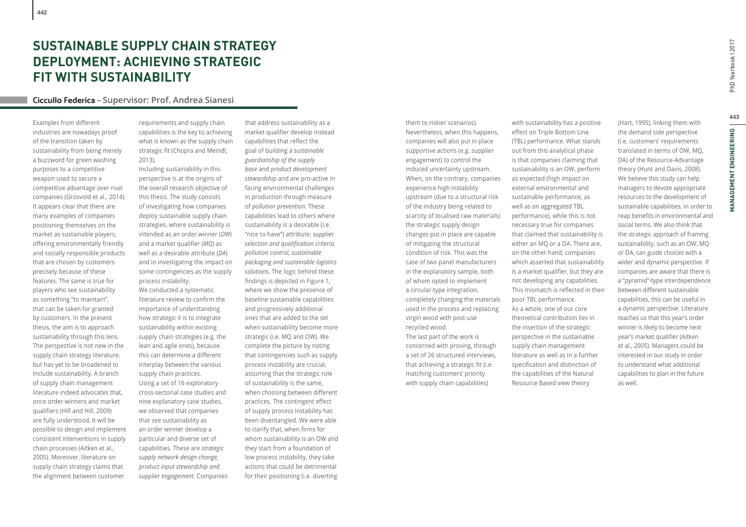# **SUSTAINABLE SUPPLY CHAIN STRATEGY DEPLOYMENT: ACHIEVING STRATEGIC FIT WITH SUSTAINABILITY**

## **Ciccullo Federica – Supervisor: Prof. Andrea Sianesi**

Examples from different industries are nowadays proof of the transition taken by sustainability from being merely a buzzword for green washing purposes to a competitive weapon used to secure a competitive advantage over rival companies (Grosvold et al., 2014). It appears clear that there are many examples of companies positioning themselves on the market as sustainable players, offering environmentally friendly and socially responsible products that are chosen by customers precisely because of these features. The same is true for players who see sustainability as something "to maintain", that can be taken for granted by customers. In the present thesis, the aim is to approach sustainability through this lens. The perspective is not new in the supply chain strategy literature, but has yet to be broadened to include sustainability. A branch of supply chain management literature indeed advocates that, once order winners and market qualifiers (Hill and Hill, 2009) are fully understood, it will be possible to design and implement consistent interventions in supply chain processes (Aitken et al., 2005). Moreover, literature on supply chain strategy claims that the alignment between customer

requirements and supply chain capabilities is the key to achieving what is known as the supply chain strategic fit (Chopra and Meindl, 2013).

Including sustainability in this perspective is at the origins of the overall research objective of this thesis. The study consists of investigating how companies deploy sustainable supply chain strategies, where sustainability is intended as an order winner (*OW*) and a market qualifier (*MQ*) as well as a desirable attribute (*DA*) and in investigating the impact on some contingencies as the supply process instability. We conducted a systematic literature review to confirm the importance of understanding how strategic it is to integrate sustainability within existing supply chain strategies (e.g. the lean and agile ones), because this can determine a different interplay between the various supply chain practices. Using a set of 16 exploratory cross-sectorial case studies and nine explanatory case studies, we observed that companies that see sustainability as an order winner develop a particular and diverse set of

capabilities. These are *strategic supply network design change, product input stewardship and supplier engagement*. Companies that address sustainability as a market qualifier develop instead capabilities that reflect the goal of building a *sustainable guardianship of the supply base* and *product development stewardship* and are pro-active in facing environmental challenges in production through measure of *pollution prevention*. These capabilities lead to others where sustainability is a desirable (i.e. "nice to have") attribute: *supplier selection and qualifi cation criteria, pollution control, sustainable packaging and sustainable logistics solutions*. The logic behind these findings is depicted in Figure 1, where we show the presence of baseline sustainable capabilities and progressively additional ones that are added to the set when sustainability become more strategic (i.e. MQ and OW). We complete the picture by noting that contingencies such as supply process instability are crucial, assuming that the strategic role of sustainability is the same, when choosing between different practices. The contingent effect of supply process instability has been disentangled. We were able to clarify that, when firms for whom sustainability is an OW and they start from a foundation of low process instability, they take actions that could be detrimental for their positioning (i.e. diverting

them to riskier scenarios). Nevertheless, when this happens, companies will also put in place supportive actions (e.g. supplier engagement) to control the induced uncertainty upstream. When, on the contrary, companies experience high instability upstream (due to a structural risk of the industry being related to scarcity of localised raw materials) the strategic supply design changes put in place are capable of mitigating the structural condition of risk. This was the case of two panel manufacturers in the explanatory sample, both of whom opted to implement a circular-type integration, completely changing the materials used in the process and replacing virgin wood with post-use recycled wood. The last part of the work is concerned with proving, through a set of 26 structured interviews, that achieving a strategic fit (i.e. matching customers' priority with supply chain capabilities)

with sustainability has a positive effect on Triple Bottom Line (TBL) performance. What stands out from this analytical phase is that companies claiming that sustainability is an OW, perform as expected (high impact on external environmental and sustainable performance, as well as on aggregated TBL performance), while this is not necessary true for companies that claimed that sustainability is either an MQ or a DA. There are, on the other hand, companies which asserted that sustainability is a market qualifier, but they are not developing any capabilities. This mismatch is reflected in their poor TBL performance. As a whole, one of our core theoretical contribution lies in the insertion of the strategic perspective in the sustainable supply chain management literature as well as in a further specification and distinction of the capabilities of the Natural Resource Based view theory

(Hart, 1995), linking them with the demand side perspective (i.e. customers' requirements translated in terms of OW, MQ, DA) of the Resource-Advantage theory (Hunt and Davis, 2008). We believe this study can help managers to devote appropriate resources to the development of sustainable capabilities, in order to reap benefits in environmental and social terms. We also think that the strategic approach of framing sustainability, such as an OW, MQ or DA, can guide choices with a wider and dynamic perspective. If companies are aware that there is a "pyramid"-type interdependence between different sustainable capabilities, this can be useful in a dynamic perspective. Literature teaches us that this year's order winner is likely to become next year's market qualifier (Aitken et al., 2005). Managers could be interested in our study in order to understand what additional capabilities to plan in the future as well.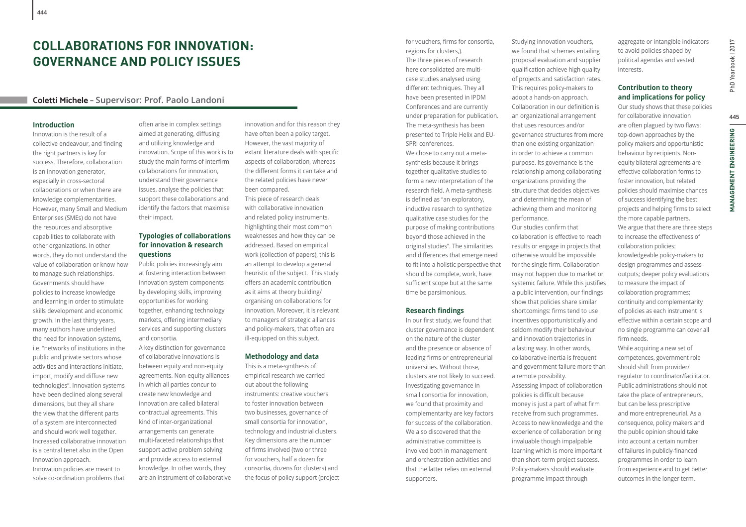# **COLLABORATIONS FOR INNOVATION: GOVERNANCE AND POLICY ISSUES**

## **Coletti Michele – Supervisor: Prof. Paolo Landoni**

#### **Introduction**

Innovation is the result of a collective endeavour, and finding the right partners is key for success. Therefore, collaboration is an innovation generator, especially in cross-sectoral collaborations or when there are knowledge complementarities. However, many Small and Medium Enterprises (SMEs) do not have the resources and absorptive capabilities to collaborate with other organizations. In other words, they do not understand the value of collaboration or know how to manage such relationships. Governments should have policies to increase knowledge and learning in order to stimulate skills development and economic growth. In the last thirty years, many authors have underlined the need for innovation systems, i.e. ''networks of institutions in the public and private sectors whose activities and interactions initiate, import, modify and diffuse new technologies". Innovation systems have been declined along several dimensions, but they all share the view that the different parts of a system are interconnected and should work well together. Increased collaborative innovation is a central tenet also in the Open Innovation approach.

Innovation policies are meant to solve co-ordination problems that

often arise in complex settings aimed at generating, diffusing and utilizing knowledge and innovation. Scope of this work is to study the main forms of interfirm collaborations for innovation, understand their governance issues, analyse the policies that support these collaborations and identify the factors that maximise their impact.

## **Typologies of collaborations for innovation & research questions**

Public policies increasingly aim at fostering interaction between innovation system components by developing skills, improving opportunities for working together, enhancing technology markets, offering intermediary services and supporting clusters and consortia.

A key distinction for governance of collaborative innovations is between equity and non-equity agreements. Non-equity alliances in which all parties concur to create new knowledge and innovation are called bilateral contractual agreements. This kind of inter-organizational arrangements can generate multi-faceted relationships that support active problem solving and provide access to external knowledge. In other words, they are an instrument of collaborative innovation and for this reason they have often been a policy target. However, the vast majority of extant literature deals with specific aspects of collaboration, whereas the different forms it can take and the related policies have never been compared. This piece of research deals

with collaborative innovation and related policy instruments, highlighting their most common weaknesses and how they can be addressed. Based on empirical work (collection of papers), this is an attempt to develop a general heuristic of the subject. This study offers an academic contribution as it aims at theory building/ organising on collaborations for innovation. Moreover, it is relevant to managers of strategic alliances and policy-makers, that often are ill-equipped on this subject.

## **Methodology and data**

This is a meta-synthesis of empirical research we carried out about the following instruments: creative vouchers to foster innovation between two businesses, governance of small consortia for innovation, technology and industrial clusters. Key dimensions are the number of firms involved (two or three for vouchers, half a dozen for consortia, dozens for clusters) and the focus of policy support (project for vouchers, firms for consortia, regions for clusters,). The three pieces of research here consolidated are multicase studies analysed using different techniques. They all have been presented in IPDM Conferences and are currently under preparation for publication. The meta-synthesis has been presented to Triple Helix and EU-SPRI conferences.

We chose to carry out a metasynthesis because it brings together qualitative studies to form a new interpretation of the research field. A meta-synthesis is defined as "an exploratory, inductive research to synthetize qualitative case studies for the purpose of making contributions beyond those achieved in the original studies". The similarities and differences that emerge need to fit into a holistic perspective that should be complete, work, have sufficient scope but at the same time be parsimonious.

## **Research findings**

In our first study, we found that cluster governance is dependent on the nature of the cluster and the presence or absence of leading firms or entrepreneurial universities. Without those, clusters are not likely to succeed. Investigating governance in small consortia for innovation, we found that proximity and complementarity are key factors for success of the collaboration. We also discovered that the administrative committee is involved both in management and orchestration activities and that the latter relies on external supporters.

Studying innovation vouchers, we found that schemes entailing proposal evaluation and supplier qualification achieve high quality of projects and satisfaction rates. This requires policy-makers to adopt a hands-on approach. Collaboration in our definition is an organizational arrangement that uses resources and/or governance structures from more than one existing organization in order to achieve a common purpose. Its governance is the relationship among collaborating organizations providing the structure that decides objectives and determining the mean of achieving them and monitoring performance. Our studies confirm that collaboration is effective to reach results or engage in projects that otherwise would be impossible for the single firm. Collaboration may not happen due to market or systemic failure. While this justifies

> a public intervention, our findings show that policies share similar shortcomings: firms tend to use incentives opportunistically and seldom modify their behaviour and innovation trajectories in a lasting way. In other words, collaborative inertia is frequent and government failure more than a remote possibility. Assessing impact of collaboration policies is difficult because money is just a part of what firm receive from such programmes. Access to new knowledge and the experience of collaboration bring invaluable though impalpable learning which is more important than short-term project success. Policy-makers should evaluate programme impact through

aggregate or intangible indicators to avoid policies shaped by political agendas and vested interests.

## **Contribution to theory and implications for policy**

Our study shows that these policies for collaborative innovation are often plagued by two flaws: top-down approaches by the policy makers and opportunistic behaviour by recipients. Nonequity bilateral agreements are effective collaboration forms to foster innovation, but related policies should maximise chances of success identifying the best projects and helping firms to select the more capable partners. We argue that there are three steps to increase the effectiveness of collaboration policies: knowledgeable policy-makers to design programmes and assess outputs; deeper policy evaluations to measure the impact of collaboration programmes; continuity and complementarity of policies as each instrument is effective within a certain scope and no single programme can cover all firm needs. While acquiring a new set of competences, government role should shift from provider/ regulator to coordinator/facilitator. Public administrations should not

take the place of entrepreneurs, but can be less prescriptive and more entrepreneurial. As a consequence, policy makers and the public opinion should take into account a certain number of failures in publicly-financed programmes in order to learn from experience and to get better outcomes in the longer term.

PhD Yearbook | 2017 **445**PhD Yearbook I 2017

445

**MANAGEMENT ENGINEERING**

**MANAGEMENT ENGINEERING**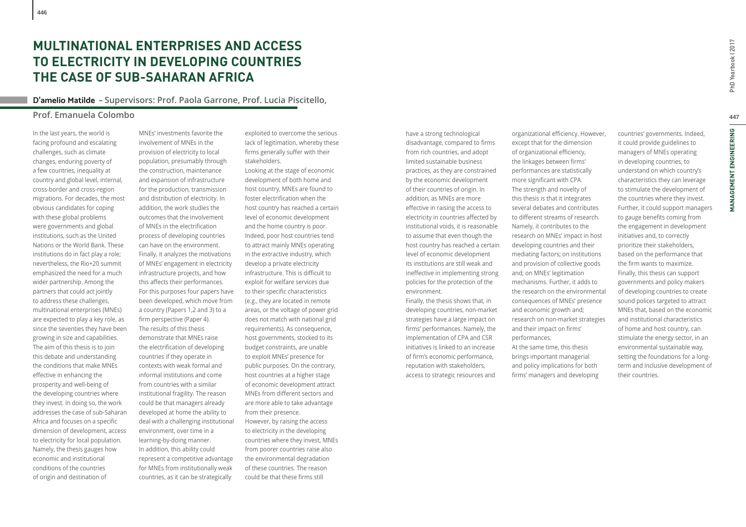# **MULTINATIONAL ENTERPRISES AND ACCESS TO ELECTRICITY IN DEVELOPING COUNTRIES THE CASE OF SUB-SAHARAN AFRICA**

## **D'amelio Matilde – Supervisors: Prof. Paola Garrone, Prof. Lucia Piscitello,**

## **Prof. Emanuela Colombo**

**446**

In the last years, the world is facing profound and escalating challenges, such as climate changes, enduring poverty of a few countries, inequality at country and global level, internal, cross-border and cross-region migrations. For decades, the most obvious candidates for coping with these global problems were governments and global institutions, such as the United Nations or the World Bank. These institutions do in fact play a role; nevertheless, the Rio+20 summit emphasized the need for a much wider partnership. Among the partners that could act jointly to address these challenges, multinational enterprises (MNEs) are expected to play a key role, as since the seventies they have been growing in size and capabilities. The aim of this thesis is to join this debate and understanding the conditions that make MNEs effective in enhancing the prosperity and well-being of the developing countries where they invest. In doing so, the work addresses the case of sub-Saharan Africa and focuses on a specific dimension of development, access to electricity for local population. Namely, the thesis gauges how economic and institutional conditions of the countries of origin and destination of

MNEs' investments favorite the involvement of MNEs in the provision of electricity to local population, presumably through the construction, maintenance and expansion of infrastructure for the production, transmission and distribution of electricity. In addition, the work studies the outcomes that the involvement of MNEs in the electrification process of developing countries can have on the environment. Finally, it analyzes the motivations of MNEs' engagement in electricity infrastructure projects, and how this affects their performances. For this purposes four papers have been developed, which move from a country (Papers 1,2 and 3) to a firm perspective (Paper 4). The results of this thesis demonstrate that MNEs raise the electrification of developing countries if they operate in contexts with weak formal and informal institutions and come from countries with a similar institutional fragility. The reason could be that managers already developed at home the ability to deal with a challenging institutional environment, over time in a learning-by-doing manner. In addition, this ability could represent a competitive advantage for MNEs from institutionally weak countries, as it can be strategically

exploited to overcome the serious lack of legitimation, whereby these firms generally suffer with their stakeholders.

Looking at the stage of economic development of both home and host country, MNEs are found to foster electrification when the host country has reached a certain level of economic development and the home country is poor. Indeed, poor host countries tend to attract mainly MNEs operating in the extractive industry, which develop a private electricity infrastructure. This is difficult to exploit for welfare services due to their specific characteristics (e.g., they are located in remote areas, or the voltage of power grid does not match with national grid requirements). As consequence, host governments, stocked to its budget constraints, are unable to exploit MNEs' presence for public purposes. On the contrary, host countries at a higher stage of economic development attract MNEs from different sectors and are more able to take advantage from their presence. However, by raising the access to electricity in the developing countries where they invest, MNEs from poorer countries raise also the environmental degradation of these countries. The reason could be that these firms still

have a strong technological disadvantage, compared to firms from rich countries, and adopt limited sustainable business practices, as they are constrained by the economic development of their countries of origin. In addition, as MNEs are more effective in raising the access to electricity in countries affected by institutional voids, it is reasonable to assume that even though the host country has reached a certain level of economic development its institutions are still weak and ineffective in implementing strong policies for the protection of the environment.

Finally, the thesis shows that, in developing countries, non-market strategies have a large impact on firms' performances. Namely, the implementation of CPA and CSR initiatives is linked to an increase of firm's economic performance, reputation with stakeholders, access to strategic resources and

organizational efficiency. However, except that for the dimension of organizational efficiency, the linkages between firms' performances are statistically more significant with CPA. The strength and novelty of this thesis is that it integrates several debates and contributes to different streams of research. Namely, it contributes to the research on MNEs' impact in host developing countries and their mediating factors; on institutions and provision of collective goods and; on MNEs' legitimation mechanisms. Further, it adds to the research on the environmental consequences of MNEs' presence and economic growth and; research on non-market strategies and their impact on firms' performances. At the same time, this thesis brings important managerial and policy implications for both firms' managers and developing

countries' governments. Indeed, it could provide guidelines to managers of MNEs operating in developing countries, to understand on which country's characteristics they can leverage to stimulate the development of the countries where they invest. Further, it could support managers to gauge benefits coming from the engagement in development initiatives and, to correctly prioritize their stakeholders, based on the performance that the firm wants to maximize. Finally, this thesis can support governments and policy makers of developing countries to create sound polices targeted to attract MNEs that, based on the economic and institutional characteristics of home and host country, can stimulate the energy sector, in an environmental sustainable way, setting the foundations for a longterm and inclusive development of their countries.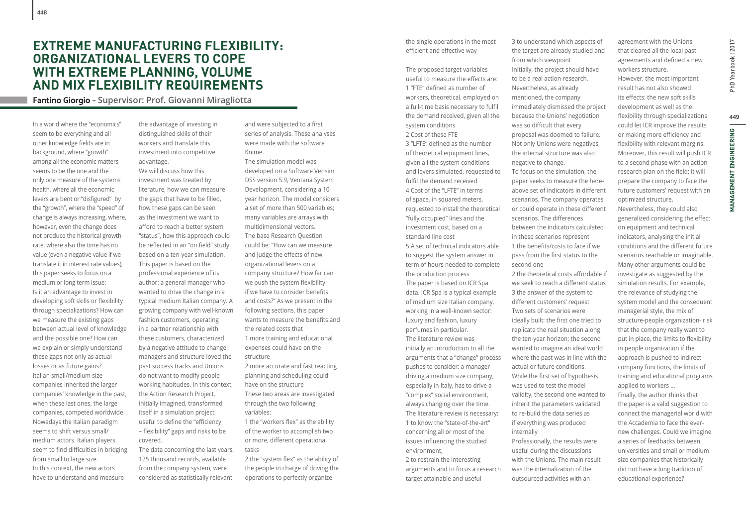## **EXTREME MANUFACTURING FLEXIBILITY: ORGANIZATIONAL LEVERS TO COPE WITH EXTREME PLANNING, VOLUME AND MIX FLEXIBILITY REQUIREMENTS**

**Fantino Giorgio – Supervisor: Prof. Giovanni Miragliotta**

In a world where the "economics" seem to be everything and all other knowledge fields are in background, where "growth" among all the economic matters seems to be the one and the only one measure of the systems health, where all the economic levers are bent or "disfigured" by the "growth", where the "speed" of change is always increasing, where, however, even the change does not produce the historical growth rate, where also the time has no value (even a negative value if we translate it in interest rate values), this paper seeks to focus on a medium or long term issue: Is it an advantage to invest in developing soft skills or flexibility through specializations? How can we measure the existing gaps between actual level of knowledge and the possible one? How can we explain or simply understand these gaps not only as actual losses or as future gains? Italian small/medium size companies inherited the larger companies' knowledge in the past, when these last ones, the large companies, competed worldwide. Nowadays the Italian paradigm seems to shift versus small/ medium actors. Italian players seem to find difficulties in bridging from small to large size. In this context, the new actors have to understand and measure

**448**

the advantage of investing in distinguished skills of their workers and translate this investment into competitive advantage.

We will discuss how this investment was treated by literature, how we can measure the gaps that have to be filled, how these gaps can be seen as the investment we want to afford to reach a better system "status", how this approach could be reflected in an "on field" study based on a ten-year simulation. This paper is based on the professional experience of its author: a general manager who wanted to drive the change in a typical medium Italian company. A growing company with well-known fashion customers, operating in a partner relationship with these customers, characterized by a negative attitude to change: managers and structure loved the past success tracks and Unions do not want to modify people working habitudes. In this context, the Action Research Project, initially imagined, transformed itself in a simulation project useful to define the "efficiency - flexibility" gaps and risks to be covered.

The data concerning the last years, 125 thousand records, available from the company system, were considered as statistically relevant

and were subjected to a first series of analysis. These analyses were made with the software Knime.

The simulation model was developed on a Software Vensim DSS version 5.9, Ventana System Development, considering a 10 year horizon. The model considers a set of more than 500 variables; many variables are arrays with multidimensional vectors. The base Research Question could be: "How can we measure and judge the effects of new organizational levers on a company structure? How far can we push the system flexibility if we have to consider benefits and costs?" As we present in the following sections, this paper wants to measure the benefits and the related costs that 1 more training and educational expenses could have on the structure 2 more accurate and fast reacting planning and scheduling could have on the structure These two areas are investigated through the two following variables: 1 the "workers flex" as the ability of the worker to accomplish two

or more, different operational tasks

2 the "system flex" as the ability of the people in charge of driving the operations to perfectly organize

the single operations in the most efficient and effective way

The proposed target variables useful to measure the effects are: 1 "FTF" defined as number of workers, theoretical, employed on a full-time basis necessary to fulfil the demand received, given all the system conditions 2 Cost of these FTE 3 "LFTE" defined as the number of theoretical equipment lines,

given all the system conditions and levers simulated, requested to fulfil the demand received 4 Cost of the "LFTE" in terms of space, in squared meters, requested to install the theoretical "fully occupied" lines and the investment cost, based on a standard line cost 5 A set of technical indicators able to suggest the system answer in term of hours needed to complete the production process The paper is based on ICR Spa data. ICR Spa is a typical example of medium size Italian company, working in a well-known sector: luxury and fashion, luxury perfumes in particular. The literature review was initially an introduction to all the arguments that a "change" process pushes to consider: a manager driving a medium size company, especially in Italy, has to drive a "complex" social environment, always changing over the time. The literature review is necessary: 1 to know the "state-of-the-art" concerning all or most of the issues influencing the studied environment,

2 to restrain the interesting arguments and to focus a research target attainable and useful

3 to understand which aspects of the target are already studied and from which viewpoint Initially, the project should have to be a real action-research. Nevertheless, as already mentioned, the company immediately dismissed the project because the Unions' negotiation was so difficult that every proposal was doomed to failure. Not only Unions were negatives, the internal structure was also negative to change. To focus on the simulation, the paper seeks to measure the hereabove set of indicators in different scenarios. The company operates or could operate in these different scenarios. The differences between the indicators calculated in these scenarios represent 1 the benefits/costs to face if we pass from the first status to the second one 2 the theoretical costs affordable if we seek to reach a different status 3 the answer of the system to different customers' request Two sets of scenarios were ideally built: the first one tried to replicate the real situation along the ten-year horizon; the second

wanted to imagine an ideal world where the past was in line with the actual or future conditions. While the first set of hypothesis was used to test the model validity, the second one wanted to inherit the parameters validated to re-build the data series as if everything was produced internally Professionally, the results were useful during the discussions

with the Unions. The main result was the internalization of the outsourced activities with an

agreement with the Unions that cleared all the local past agreements and defined a new workers structure. However, the most important result has not also showed its effects: the new soft skills development as well as the flexibility through specializations could let ICR improve the results or making more efficiency and flexibility with relevant margins. Moreover, this result will push ICR to a second phase with an action research plan on the field; it will prepare the company to face the future customers' request with an optimized structure. Nevertheless, they could also generalized considering the effect on equipment and technical indicators, analysing the initial conditions and the different future scenarios reachable or imaginable. Many other arguments could be investigate as suggested by the simulation results. For example, the relevance of studying the system model and the consequent managerial style, the mix of structure-people organization- risk that the company really want to put in place, the limits to flexibility in people organization if the approach is pushed to indirect company functions, the limits of training and educational programs applied to workers … Finally, the author thinks that the paper is a valid suggestion to connect the managerial world with

the Accademia to face the evernew challenges. Could we imagine a series of feedbacks between universities and small or medium size companies that historically did not have a long tradition of educational experience?

**449**PhD Yearbook I 2017 449 **MANAGEMENT ENGINEERING MANAGEMENT ENGINEERING**

PhD Yearbook | 2017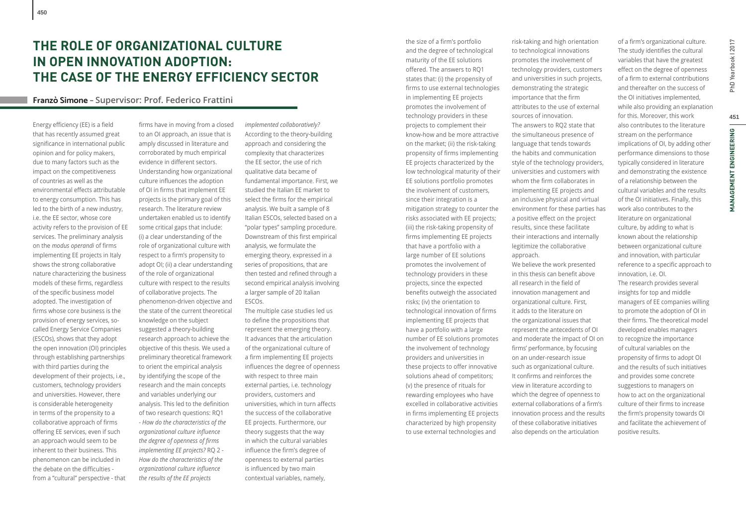## **Franzò Simone – Supervisor: Prof. Federico Frattini**

Energy efficiency (EE) is a field that has recently assumed great significance in international public opinion and for policy makers, due to many factors such as the impact on the competitiveness of countries as well as the environmental effects attributable to energy consumption. This has led to the birth of a new industry, i.e. the EE sector, whose core activity refers to the provision of EE services. The preliminary analysis on the *modus* operandi of firms implementing EE projects in Italy shows the strong collaborative nature characterizing the business models of these firms, regardless of the specific business model adopted. The investigation of firms whose core business is the provision of energy services, socalled Energy Service Companies (ESCOs), shows that they adopt the open innovation (OI) principles through establishing partnerships with third parties during the development of their projects, i.e., customers, technology providers and universities. However, there is considerable heterogeneity in terms of the propensity to a collaborative approach of firms offering EE services, even if such an approach would seem to be inherent to their business. This phenomenon can be included in the debate on the difficulties from a "cultural" perspective - that

firms have in moving from a closed to an OI approach, an issue that is amply discussed in literature and corroborated by much empirical evidence in different sectors. Understanding how organizational culture influences the adoption of OI in firms that implement EE projects is the primary goal of this research. The literature review undertaken enabled us to identify some critical gaps that include: (i) a clear understanding of the role of organizational culture with respect to a firm's propensity to adopt OI; (ii) a clear understanding of the role of organizational culture with respect to the results of collaborative projects. The phenomenon-driven objective and the state of the current theoretical knowledge on the subject suggested a theory-building research approach to achieve the objective of this thesis. We used a preliminary theoretical framework to orient the empirical analysis by identifying the scope of the research and the main concepts and variables underlying our analysis. This led to the definition of two research questions: RQ1 - *How do the characteristics of the organizational culture infl uence the degree of openness of firms implementing EE projects?* RQ 2 - *How do the characteristics of the organizational culture infl uence the results of the EE projects* 

*implemented collaboratively?* According to the theory-building approach and considering the complexity that characterizes the EE sector, the use of rich qualitative data became of fundamental importance. First, we studied the Italian EE market to select the firms for the empirical analysis. We built a sample of 8 Italian ESCOs, selected based on a "polar types" sampling procedure. Downstream of this first empirical analysis, we formulate the emerging theory, expressed in a series of propositions, that are then tested and refined through a second empirical analysis involving a larger sample of 20 Italian ESCOs.

The multiple case studies led us to define the propositions that represent the emerging theory. It advances that the articulation of the organizational culture of a firm implementing EE projects influences the degree of openness with respect to three main external parties, i.e. technology providers, customers and universities, which in turn affects the success of the collaborative EE projects. Furthermore, our theory suggests that the way in which the cultural variables influence the firm's degree of openness to external parties is influenced by two main contextual variables, namely,

the size of a firm's portfolio and the degree of technological maturity of the EE solutions offered. The answers to RQ1 states that: (i) the propensity of firms to use external technologies in implementing EE projects promotes the involvement of technology providers in these projects to complement their know-how and be more attractive on the market; (ii) the risk-taking propensity of firms implementing EE projects characterized by the low technological maturity of their EE solutions portfolio promotes the involvement of customers, since their integration is a mitigation strategy to counter the risks associated with EE projects; (iii) the risk-taking propensity of firms implementing EE projects that have a portfolio with a large number of EE solutions promotes the involvement of technology providers in these projects, since the expected benefits outweigh the associated risks; (iv) the orientation to technological innovation of firms implementing EE projects that have a portfolio with a large number of EE solutions promotes the involvement of technology providers and universities in these projects to offer innovative solutions ahead of competitors; (v) the presence of rituals for rewarding employees who have excelled in collaborative activities in firms implementing EE projects characterized by high propensity to use external technologies and

risk-taking and high orientation to technological innovations promotes the involvement of technology providers, customers and universities in such projects, demonstrating the strategic importance that the firm attributes to the use of external sources of innovation. The answers to RQ2 state that the simultaneous presence of language that tends towards the habits and communication style of the technology providers, universities and customers with whom the firm collaborates in implementing EE projects and an inclusive physical and virtual environment for these parties has a positive effect on the project results, since these facilitate their interactions and internally legitimize the collaborative approach. We believe the work presented in this thesis can benefit above all research in the field of innovation management and organizational culture. First, it adds to the literature on the organizational issues that represent the antecedents of OI and moderate the impact of OI on firms' performance, by focusing on an under-research issue such as organizational culture. It confirms and reinforces the view in literature according to which the degree of openness to external collaborations of a firm's innovation process and the results of these collaborative initiatives also depends on the articulation

of a firm's organizational culture. The study identifies the cultural variables that have the greatest effect on the degree of openness of a firm to external contributions and thereafter on the success of the OI initiatives implemented, while also providing an explanation for this. Moreover, this work also contributes to the literature stream on the performance implications of OI, by adding other performance dimensions to those typically considered in literature and demonstrating the existence of a relationship between the cultural variables and the results of the OI initiatives. Finally, this work also contributes to the literature on organizational culture, by adding to what is known about the relationship between organizational culture and innovation, with particular reference to a specific approach to innovation, i.e. OI. The research provides several insights for top and middle managers of EE companies willing to promote the adoption of OI in their firms. The theoretical model developed enables managers to recognize the importance of cultural variables on the propensity of firms to adopt OI and the results of such initiatives and provides some concrete suggestions to managers on how to act on the organizational culture of their firms to increase the firm's propensity towards OI and facilitate the achievement of positive results.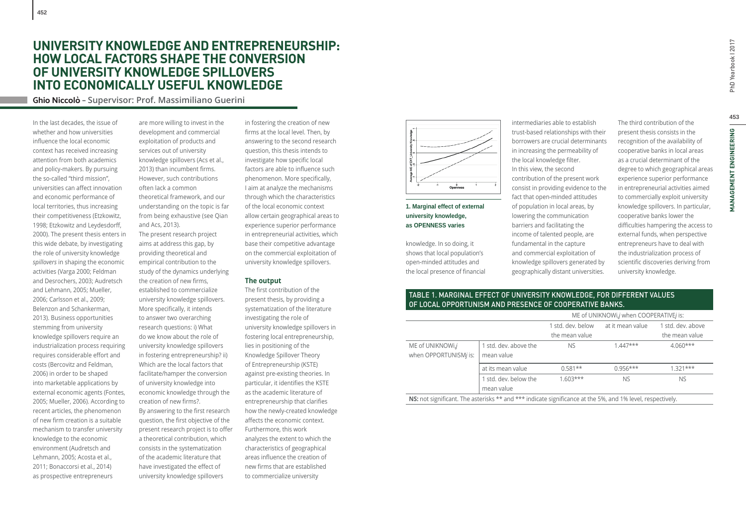**Ghio Niccolò – Supervisor: Prof. Massimiliano Guerini**

In the last decades, the issue of whether and how universities influence the local economic context has received increasing attention from both academics and policy-makers. By pursuing the so-called "third mission", universities can affect innovation and economic performance of local territories, thus increasing their competitiveness (Etzkowitz, 1998; Etzkowitz and Leydesdorff, 2000). The present thesis enters in this wide debate, by investigating the role of university knowledge *spillovers* in shaping the economic activities (Varga 2000; Feldman and Desrochers, 2003; Audretsch and Lehmann, 2005; Mueller, 2006; Carlsson et al., 2009; Belenzon and Schankerman, 2013). Business opportunities stemming from university knowledge spillovers require an industrialization process requiring requires considerable effort and costs (Bercovitz and Feldman, 2006) in order to be shaped into marketable applications by external economic agents (Fontes, 2005; Mueller, 2006). According to recent articles, the phenomenon of new firm creation is a suitable mechanism to transfer university knowledge to the economic environment (Audretsch and Lehmann, 2005; Acosta et al., 2011; Bonaccorsi et al., 2014) as prospective entrepreneurs

are more willing to invest in the development and commercial exploitation of products and services out of university knowledge spillovers (Acs et al., 2013) than incumbent firms. However, such contributions often lack a common theoretical framework, and our understanding on the topic is far from being exhaustive (see Qian and Acs, 2013). The present research project aims at address this gap, by providing theoretical and empirical contribution to the study of the dynamics underlying the creation of new firms. established to commercialize university knowledge spillovers. More specifically, it intends to answer two overarching research questions: i) What do we know about the role of university knowledge spillovers in fostering entrepreneurship? ii) Which are the local factors that facilitate/hamper the conversion of university knowledge into economic knowledge through the creation of new firms?. By answering to the first research question, the first objective of the present research project is to offer a theoretical contribution, which consists in the systematization of the academic literature that have investigated the effect of university knowledge spillovers

in fostering the creation of new firms at the local level. Then, by answering to the second research question, this thesis intends to investigate how specific local factors are able to influence such phenomenon. More specifically, I aim at analyze the mechanisms through which the characteristics of the local economic context allow certain geographical areas to experience superior performance in entrepreneurial activities, which base their competitive advantage on the commercial exploitation of university knowledge spillovers.

#### **The output**

The first contribution of the present thesis, by providing a systematization of the literature investigating the role of university knowledge spillovers in fostering local entrepreneurship, lies in positioning of the Knowledge Spillover Theory of Entrepreneurship (KSTE) against pre-existing theories. In particular, it identifies the KSTE as the academic literature of entrepreneurship that clarifies how the newly-created knowledge affects the economic context Furthermore, this work analyzes the extent to which the characteristics of geographical areas influence the creation of new firms that are established to commercialize university



## **1. Marginal effect of external university knowledge, as OPENNESS varies**

knowledge. In so doing, it shows that local population's open-minded attitudes and the local presence of financial

intermediaries able to establish trust-based relationships with their borrowers are crucial determinants in increasing the permeability of the local knowledge filter. In this view, the second contribution of the present work consist in providing evidence to the fact that open-minded attitudes of population in local areas, by lowering the communication barriers and facilitating the income of talented people, are fundamental in the capture and commercial exploitation of knowledge spillovers generated by geographically distant universities.

The third contribution of the present thesis consists in the recognition of the availability of cooperative banks in local areas as a crucial determinant of the degree to which geographical areas experience superior performance in entrepreneurial activities aimed to commercially exploit university knowledge spillovers. In particular, cooperative banks lower the difficulties hampering the access to external funds, when perspective entrepreneurs have to deal with the industrialization process of scientific discoveries deriving from university knowledge.

## TABLE 1. MARGINAL EFFECT OF UNIVERSITY KNOWLEDGE, FOR DIFFERENT VALUES OF LOCAL OPPORTUNISM AND PRESENCE OF COOPERATIVE BANKS.

|                                                                                                                   |                                     | ME of UNIKNOWI, i when COOPERATIVE is: |                  |                   |  |
|-------------------------------------------------------------------------------------------------------------------|-------------------------------------|----------------------------------------|------------------|-------------------|--|
|                                                                                                                   |                                     | 1 std. dev. below                      | at it mean value | 1 std. dev. above |  |
|                                                                                                                   |                                     | the mean value                         |                  | the mean value    |  |
| ME of UNIKNOWI,j<br>when OPPORTUNISMj is:                                                                         | 1 std. dev. above the<br>mean value | <b>NS</b>                              | $1.447***$       | $4.060***$        |  |
|                                                                                                                   | at its mean value                   | $0.581**$                              | $0.956***$       | $1.321***$        |  |
|                                                                                                                   | 1 std. dev. below the<br>mean value | $1.603***$                             | <b>NS</b>        | <b>NS</b>         |  |
| <b>NS:</b> not significant. The asterisks ** and *** indicate significance at the 5%, and 1% level, respectively. |                                     |                                        |                  |                   |  |

PhD Yearbook | 2017 **453**PhD Yearbook I 2017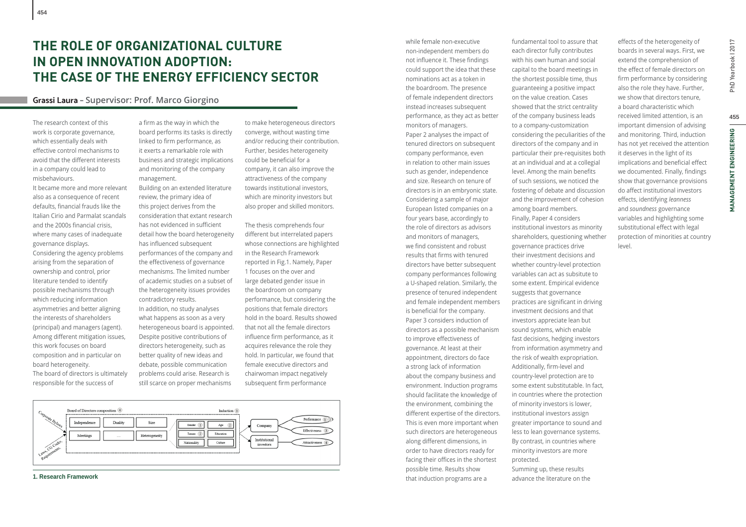# **THE ROLE OF ORGANIZATIONAL CULTURE IN OPEN INNOVATION ADOPTION: THE CASE OF THE ENERGY EFFICIENCY SECTOR**

## **Grassi Laura – Supervisor: Prof. Marco Giorgino**

The research context of this work is corporate governance, which essentially deals with effective control mechanisms to avoid that the different interests in a company could lead to misbehaviours.

It became more and more relevant also as a consequence of recent defaults, financial frauds like the Italian Cirio and Parmalat scandals and the 2000s financial crisis. where many cases of inadequate governance displays. Considering the agency problems arising from the separation of ownership and control, prior literature tended to identify possible mechanisms through which reducing information asymmetries and better aligning the interests of shareholders (principal) and managers (agent). Among different mitigation issues, this work focuses on board composition and in particular on board heterogeneity. The board of directors is ultimately responsible for the success of

a firm as the way in which the board performs its tasks is directly linked to firm performance, as it exerts a remarkable role with business and strategic implications and monitoring of the company management.

Building on an extended literature review, the primary idea of this project derives from the consideration that extant research has not evidenced in sufficient detail how the board heterogeneity has influenced subsequent performances of the company and the effectiveness of governance mechanisms. The limited number of academic studies on a subset of the heterogeneity issues provides contradictory results.

In addition, no study analyses what happens as soon as a very heterogeneous board is appointed. Despite positive contributions of directors heterogeneity, such as better quality of new ideas and debate, possible communication problems could arise. Research is still scarce on proper mechanisms

to make heterogeneous directors converge, without wasting time and/or reducing their contribution. Further, besides heterogeneity could be beneficial for a company, it can also improve the attractiveness of the company towards institutional investors, which are minority investors but also proper and skilled monitors.

The thesis comprehends four different but interrelated papers whose connections are highlighted in the Research Framework reported in Fig.1. Namely, Paper 1 focuses on the over and large debated gender issue in the boardroom on company performance, but considering the positions that female directors hold in the board. Results showed that not all the female directors influence firm performance, as it acquires relevance the role they hold. In particular, we found that female executive directors and chairwoman impact negatively subsequent firm performance



**1. Research Framework**

non-independent members do not influence it. These findings could support the idea that these nominations act as a token in the boardroom. The presence of female independent directors instead increases subsequent performance, as they act as better monitors of managers. Paper 2 analyses the impact of tenured directors on subsequent company performance, even in relation to other main issues such as gender, independence and size. Research on tenure of directors is in an embryonic state. Considering a sample of major European listed companies on a four years base, accordingly to the role of directors as advisors and monitors of managers, we find consistent and robust results that firms with tenured directors have better subsequent company performances following a U-shaped relation. Similarly, the presence of tenured independent and female independent members is beneficial for the company. Paper 3 considers induction of directors as a possible mechanism to improve effectiveness of governance. At least at their appointment, directors do face a strong lack of information about the company business and environment. Induction programs should facilitate the knowledge of the environment, combining the different expertise of the directors. This is even more important when such directors are heterogeneous along different dimensions, in order to have directors ready for facing their offices in the shortest possible time. Results show that induction programs are a

while female non-executive

fundamental tool to assure that each director fully contributes with his own human and social capital to the board meetings in the shortest possible time, thus guaranteeing a positive impact on the value creation. Cases showed that the strict centrality of the company business leads to a company-customization considering the peculiarities of the directors of the company and in particular their pre-requisites both at an individual and at a collegial level. Among the main benefits of such sessions, we noticed the fostering of debate and discussion and the improvement of cohesion among board members. Finally, Paper 4 considers institutional investors as minority shareholders, questioning whether governance practices drive their investment decisions and whether country-level protection variables can act as subsitute to some extent. Empirical evidence suggests that governance practices are significant in driving investment decisions and that investors appreciate lean but sound systems, which enable fast decisions, hedging investors from information asymmetry and the risk of wealth expropriation. Additionally, firm-level and country-level protection are to some extent substitutable. In fact, in countries where the protection of minority investors is lower, institutional investors assign greater importance to sound and less to lean governance systems. By contrast, in countries where minority investors are more protected.

Summing up, these results advance the literature on the boards in several ways. First, we extend the comprehension of the effect of female directors on firm performance by considering also the role they have. Further, we show that directors tenure, a board characteristic which received limited attention, is an important dimension of advising and monitoring. Third, induction has not yet received the attention it deserves in the light of its implications and beneficial effect we documented. Finally, findings show that governance provisions do affect institutional investors eff ects, identifying *leanness* and *soundness* governance variables and highlighting some substitutional effect with legal protection of minorities at country level.

effects of the heterogeneity of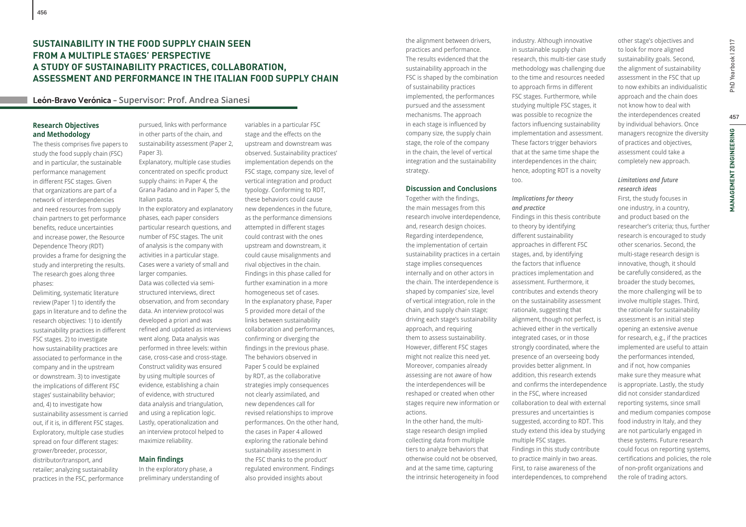## **SUSTAINABILITY IN THE FOOD SUPPLY CHAIN SEEN FROM A MULTIPLE STAGES' PERSPECTIVE A STUDY OF SUSTAINABILITY PRACTICES, COLLABORATION, ASSESSMENT AND PERFORMANCE IN THE ITALIAN FOOD SUPPLY CHAIN**

## **León-Bravo Verónica – Supervisor: Prof. Andrea Sianesi**

## **Research Objectives and Methodology**

The thesis comprises five papers to study the food supply chain (FSC) and in particular, the sustainable performance management in different FSC stages. Given that organizations are part of a network of interdependencies and need resources from supply chain partners to get performance benefits, reduce uncertainties and increase power, the Resource Dependence Theory (RDT) provides a frame for designing the study and interpreting the results. The research goes along three phases:

Delimiting, systematic literature review (Paper 1) to identify the gaps in literature and to define the research objectives: 1) to identify sustainability practices in different FSC stages. 2) to investigate how sustainability practices are associated to performance in the company and in the upstream or downstream. 3) to investigate the implications of different FSC stages' sustainability behavior; and, 4) to investigate how sustainability assessment is carried out, if it is, in different FSC stages. Exploratory, multiple case studies spread on four different stages: grower/breeder, processor, distributor/transport, and retailer; analyzing sustainability practices in the FSC, performance

pursued, links with performance in other parts of the chain, and sustainability assessment (Paper 2, Paper 3).

Explanatory, multiple case studies concentrated on specific product supply chains: in Paper 4, the Grana Padano and in Paper 5, the Italian pasta.

In the exploratory and explanatory phases, each paper considers particular research questions, and number of FSC stages. The unit of analysis is the company with activities in a particular stage. Cases were a variety of small and larger companies.

Data was collected via semistructured interviews, direct observation, and from secondary data. An interview protocol was developed a priori and was refined and updated as interviews went along. Data analysis was performed in three levels: within case, cross-case and cross-stage. Construct validity was ensured by using multiple sources of evidence, establishing a chain of evidence, with structured data analysis and triangulation, and using a replication logic. Lastly, operationalization and an interview protocol helped to maximize reliability.

## **Main findings**

In the exploratory phase, a preliminary understanding of variables in a particular FSC stage and the effects on the upstream and downstream was observed. Sustainability practices' implementation depends on the FSC stage, company size, level of vertical integration and product typology. Conforming to RDT, these behaviors could cause new dependences in the future, as the performance dimensions attempted in different stages could contrast with the ones upstream and downstream, it could cause misalignments and rival objectives in the chain. Findings in this phase called for further examination in a more homogeneous set of cases. In the explanatory phase, Paper 5 provided more detail of the links between sustainability collaboration and performances, confirming or diverging the findings in the previous phase. The behaviors observed in Paper 5 could be explained by RDT, as the collaborative strategies imply consequences not clearly assimilated, and new dependences call for revised relationships to improve performances. On the other hand, the cases in Paper 4 allowed exploring the rationale behind sustainability assessment in the FSC thanks to the product' regulated environment. Findings also provided insights about

the alignment between drivers, practices and performance. The results evidenced that the sustainability approach in the FSC is shaped by the combination of sustainability practices implemented, the performances pursued and the assessment mechanisms. The approach in each stage is influenced by company size, the supply chain stage, the role of the company in the chain, the level of vertical integration and the sustainability strategy.

## **Discussion and Conclusions**

Together with the findings, the main messages from this research involve interdependence, and, research design choices. Regarding interdependence, the implementation of certain sustainability practices in a certain stage implies consequences internally and on other actors in the chain. The interdependence is shaped by companies' size, level of vertical integration, role in the chain, and supply chain stage; driving each stage's sustainability approach, and requiring them to assess sustainability. However, different FSC stages might not realize this need yet. Moreover, companies already assessing are not aware of how the interdependences will be reshaped or created when other stages require new information or actions.

In the other hand, the multistage research design implied collecting data from multiple tiers to analyze behaviors that otherwise could not be observed, and at the same time, capturing the intrinsic heterogeneity in food

industry. Although innovative in sustainable supply chain research, this multi-tier case study methodology was challenging due to the time and resources needed to approach firms in different FSC stages. Furthermore, while studying multiple FSC stages, it was possible to recognize the factors influencing sustainability implementation and assessment. These factors trigger behaviors that at the same time shape the interdependences in the chain; hence, adopting RDT is a novelty too.

## *Implications for theory and practice*

Findings in this thesis contribute to theory by identifying different sustainability approaches in different FSC stages, and, by identifying the factors that influence practices implementation and assessment. Furthermore, it contributes and extends theory on the sustainability assessment rationale, suggesting that alignment, though not perfect, is achieved either in the vertically integrated cases, or in those strongly coordinated, where the presence of an overseeing body provides better alignment. In addition, this research extends and confirms the interdependence in the FSC, where increased collaboration to deal with external pressures and uncertainties is suggested, according to RDT. This study extend this idea by studying multiple FSC stages. Findings in this study contribute to practice mainly in two areas. First, to raise awareness of the interdependences, to comprehend

other stage's objectives and to look for more aligned sustainability goals. Second, the alignment of sustainability assessment in the FSC that up to now exhibits an individualistic approach and the chain does not know how to deal with the interdependences created by individual behaviors. Once managers recognize the diversity of practices and objectives, assessment could take a completely new approach.

## *Limitations and future research ideas*

First, the study focuses in one industry, in a country, and product based on the researcher's criteria; thus, further research is encouraged to study other scenarios. Second, the multi-stage research design is innovative, though, it should be carefully considered, as the broader the study becomes, the more challenging will be to involve multiple stages. Third, the rationale for sustainability assessment is an initial step opening an extensive avenue for research, e.g., if the practices implemented are useful to attain the performances intended, and if not, how companies make sure they measure what is appropriate. Lastly, the study did not consider standardized reporting systems, since small and medium companies compose food industry in Italy, and they are not particularly engaged in these systems. Future research could focus on reporting systems, certifications and policies, the role of non-profit organizations and the role of trading actors.

457

**MANAGEMENT ENGINEERING**

**VANAGEMENT ENGINEERING**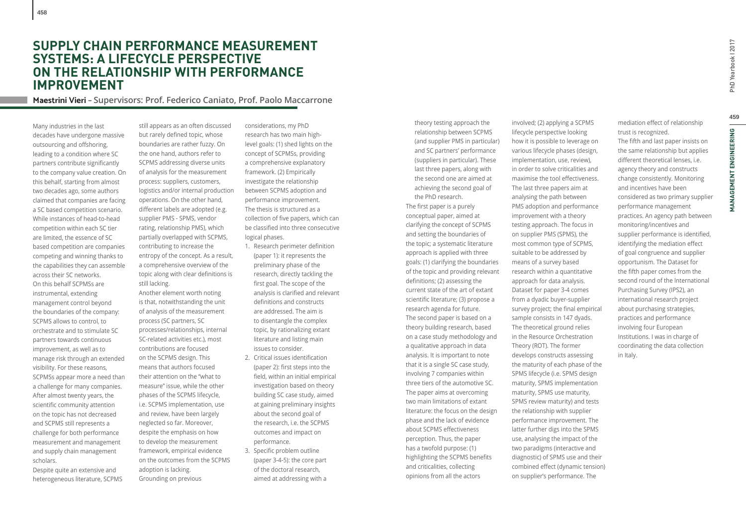# **459**PhD Yearbook I 2017 459 **MANAGEMENT ENGINEERING MANAGEMENT ENGINEERING**

PhD Yearbook | 2017

## **SUPPLY CHAIN PERFORMANCE MEASUREMENT SYSTEMS: A LIFECYCLE PERSPECTIVE ON THE RELATIONSHIP WITH PERFORMANCE IMPROVEMENT**

## **Maestrini Vieri – Supervisors: Prof. Federico Caniato, Prof. Paolo Maccarrone**

Many industries in the last decades have undergone massive outsourcing and offshoring. leading to a condition where SC partners contribute significantly to the company value creation. On this behalf, starting from almost two decades ago, some authors claimed that companies are facing a SC based competition scenario. While instances of head-to-head competition within each SC tier are limited, the essence of SC based competition are companies competing and winning thanks to the capabilities they can assemble across their SC networks. On this behalf SCPMSs are instrumental, extending management control beyond the boundaries of the company: SCPMS allows to control, to orchestrate and to stimulate SC partners towards continuous improvement, as well as to manage risk through an extended visibility. For these reasons, SCPMSs appear more a need than a challenge for many companies. After almost twenty years, the scientific community attention on the topic has not decreased and SCPMS still represents a challenge for both performance measurement and management and supply chain management scholars.

Despite quite an extensive and heterogeneous literature, SCPMS

still appears as an often discussed but rarely defined topic, whose boundaries are rather fuzzy. On the one hand, authors refer to SCPMS addressing diverse units of analysis for the measurement process: suppliers, customers, logistics and/or internal production operations. On the other hand, different labels are adopted (e.g. supplier PMS - SPMS, vendor rating, relationship PMS), which partially overlapped with SCPMS, contributing to increase the entropy of the concept. As a result, a comprehensive overview of the topic along with clear definitions is still lacking.

Another element worth noting is that, notwithstanding the unit of analysis of the measurement process (SC partners, SC processes/relationships, internal SC-related activities etc.), most contributions are focused on the SCPMS design. This means that authors focused their attention on the "what to measure" issue, while the other phases of the SCPMS lifecycle, i.e. SCPMS implementation, use and review, have been largely neglected so far. Moreover, despite the emphasis on how to develop the measurement framework, empirical evidence on the outcomes from the SCPMS adoption is lacking. Grounding on previous

considerations, my PhD research has two main highlevel goals: (1) shed lights on the concept of SCPMSs, providing a comprehensive explanatory framework. (2) Empirically investigate the relationship between SCPMS adoption and performance improvement. The thesis is structured as a collection of five papers, which can be classified into three consecutive logical phases.

- 1. Research perimeter definition (paper 1): it represents the preliminary phase of the research, directly tackling the first goal. The scope of the analysis is clarified and relevant definitions and constructs are addressed. The aim is to disentangle the complex topic, by rationalizing extant literature and listing main issues to consider.
- 2. Critical issues identification (paper 2): first steps into the field, within an initial empirical investigation based on theory building SC case study, aimed at gaining preliminary insights about the second goal of the research, i.e. the SCPMS outcomes and impact on performance.
- 3. Specific problem outline (paper 3-4-5): the core part of the doctoral research, aimed at addressing with a

theory testing approach the relationship between SCPMS (and supplier PMS in particular) and SC partners' performance (suppliers in particular). These last three papers, along with the second one are aimed at achieving the second goal of the PhD research.

The first paper is a purely conceptual paper, aimed at clarifying the concept of SCPMS and setting the boundaries of the topic; a systematic literature approach is applied with three goals: (1) clarifying the boundaries of the topic and providing relevant definitions; (2) assessing the current state of the art of extant scientific literature; (3) propose a research agenda for future. The second paper is based on a theory building research, based on a case study methodology and a qualitative approach in data analysis. It is important to note that it is a single SC case study, involving 7 companies within three tiers of the automotive SC. The paper aims at overcoming two main limitations of extant literature: the focus on the design phase and the lack of evidence about SCPMS effectiveness perception. Thus, the paper has a twofold purpose: (1) highlighting the SCPMS benefits and criticalities, collecting opinions from all the actors

involved; (2) applying a SCPMS lifecycle perspective looking how it is possible to leverage on various lifecycle phases (design, implementation, use, review), in order to solve criticalities and maximise the tool effectiveness. The last three papers aim at analysing the path between PMS adoption and performance improvement with a theory testing approach. The focus in on supplier PMS (SPMS), the most common type of SCPMS, suitable to be addressed by means of a survey based research within a quantitative approach for data analysis. Dataset for paper 3-4 comes from a dyadic buyer-supplier survey project; the final empirical sample consists in 147 dyads. The theoretical ground relies in the Resource Orchestration Theory (ROT). The former develops constructs assessing the maturity of each phase of the SPMS lifecycle (i.e. SPMS design maturity, SPMS implementation maturity, SPMS use maturity, SPMS review maturity) and tests the relationship with supplier performance improvement. The latter further digs into the SPMS use, analysing the impact of the two paradigms (interactive and diagnostic) of SPMS use and their combined effect (dynamic tension) on supplier's performance. The

mediation effect of relationship trust is recognized. The fifth and last paper insists on the same relationship but applies different theoretical lenses, i.e. agency theory and constructs change consistently. Monitoring and incentives have been considered as two primary supplier performance management practices. An agency path between monitoring/incentives and supplier performance is identified, identifying the mediation effect of goal congruence and supplier opportunism. The Dataset for the fifth paper comes from the second round of the International Purchasing Survey (IPS2), an international research project about purchasing strategies, practices and performance involving four European Institutions. I was in charge of coordinating the data collection in Italy.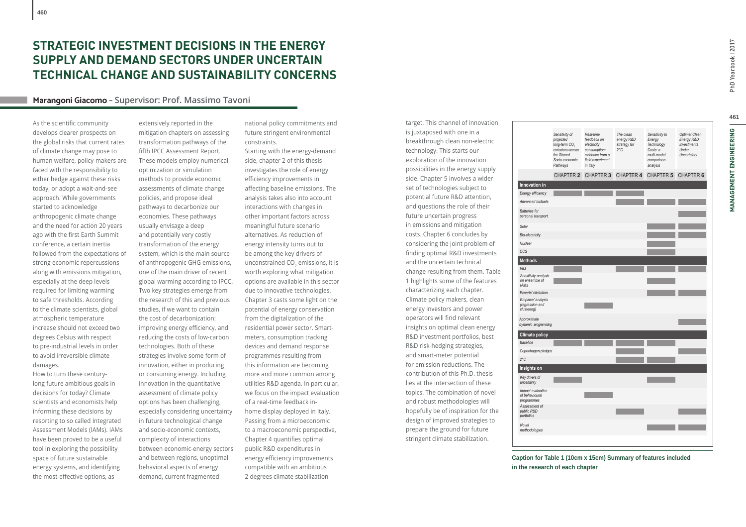## **STRATEGIC INVESTMENT DECISIONS IN THE ENERGY SUPPLY AND DEMAND SECTORS UNDER UNCERTAIN TECHNICAL CHANGE AND SUSTAINABILITY CONCERNS**

## **Marangoni Giacomo – Supervisor: Prof. Massimo Tavoni**

As the scientific community develops clearer prospects on the global risks that current rates of climate change may pose to human welfare, policy-makers are faced with the responsibility to either hedge against these risks today, or adopt a wait-and-see approach. While governments started to acknowledge anthropogenic climate change and the need for action 20 years ago with the first Earth Summit conference, a certain inertia followed from the expectations of strong economic repercussions along with emissions mitigation, especially at the deep levels required for limiting warming to safe thresholds. According to the climate scientists, global atmospheric temperature increase should not exceed two degrees Celsius with respect to pre-industrial levels in order to avoid irreversible climate damages.

How to turn these centurylong future ambitious goals in decisions for today? Climate scientists and economists help informing these decisions by resorting to so called Integrated Assessment Models (IAMs). IAMs have been proved to be a useful tool in exploring the possibility space of future sustainable energy systems, and identifying the most-effective options, as

extensively reported in the mitigation chapters on assessing transformation pathways of the fifth IPCC Assessment Report. These models employ numerical optimization or simulation methods to provide economic assessments of climate change policies, and propose ideal pathways to decarbonize our economies. These pathways usually envisage a deep and potentially very costly transformation of the energy system, which is the main source of anthropogenic GHG emissions, one of the main driver of recent global warming according to IPCC. Two key strategies emerge from the research of this and previous studies, if we want to contain the cost of decarbonization: improving energy efficiency, and reducing the costs of low-carbon technologies. Both of these strategies involve some form of innovation, either in producing or consuming energy. Including innovation in the quantitative assessment of climate policy options has been challenging, especially considering uncertainty in future technological change and socio-economic contexts, complexity of interactions between economic-energy sectors and between regions, unoptimal behavioral aspects of energy demand, current fragmented

national policy commitments and future stringent environmental constraints.

Starting with the energy-demand side, chapter 2 of this thesis investigates the role of energy efficiency improvements in affecting baseline emissions. The analysis takes also into account interactions with changes in other important factors across meaningful future scenario alternatives. As reduction of energy intensity turns out to be among the key drivers of unconstrained CO<sub>2</sub> emissions, it is worth exploring what mitigation options are available in this sector due to innovative technologies. Chapter 3 casts some light on the potential of energy conservation from the digitalization of the residential power sector. Smartmeters, consumption tracking devices and demand response programmes resulting from this information are becoming more and more common among utilities R&D agenda. In particular, we focus on the impact evaluation of a real-time feedback inhome display deployed in Italy. Passing from a microeconomic to a macroeconomic perspective, Chapter 4 quantifies optimal public R&D expenditures in energy efficiency improvements compatible with an ambitious 2 degrees climate stabilization

target. This channel of innovation is juxtaposed with one in a breakthrough clean non-electric technology. This starts our exploration of the innovation possibilities in the energy supply side. Chapter 5 involves a wider set of technologies subject to potential future R&D attention, and questions the role of their future uncertain progress in emissions and mitigation costs. Chapter 6 concludes by considering the joint problem of finding optimal R&D investments and the uncertain technical change resulting from them. Table 1 highlights some of the features characterizing each chapter. Climate policy makers, clean energy investors and power operators will find relevant insights on optimal clean energy R&D investment portfolios, best R&D risk-hedging strategies, and smart-meter potential for emission reductions. The contribution of this Ph.D. thesis lies at the intersection of these topics. The combination of novel and robust methodologies will hopefully be of inspiration for the design of improved strategies to prepare the ground for future stringent climate stabilization.



**Caption for Table 1 (10cm x 15cm) Summary of features included in the research of each chapter**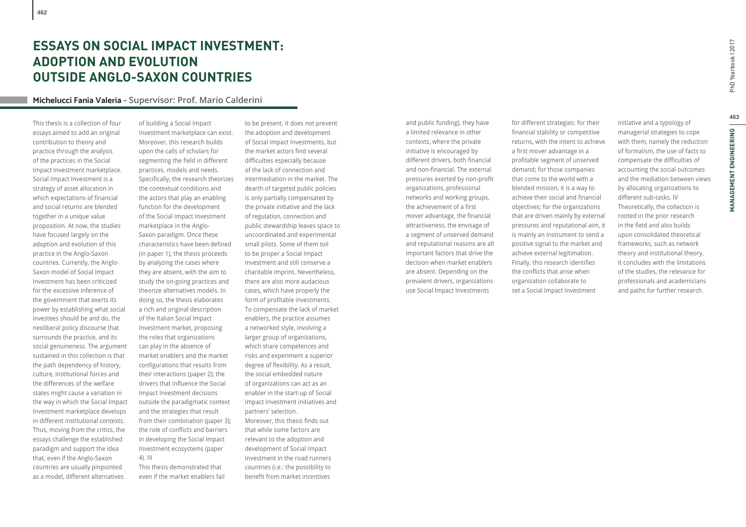# **ESSAYS ON SOCIAL IMPACT INVESTMENT: ADOPTION AND EVOLUTION OUTSIDE ANGLO-SAXON COUNTRIES**

## **Michelucci Fania Valeria – Supervisor: Prof. Mario Calderini**

This thesis is a collection of four essays aimed to add an original contribution to theory and practice through the analysis of the practices in the Social Impact Investment marketplace. Social Impact Investment is a strategy of asset allocation in which expectations of financial and social returns are blended together in a unique value proposition. At now, the studies have focused largely on the adoption and evolution of this practice in the Anglo-Saxon countries. Currently, the Anglo-Saxon model of Social Impact Investment has been criticized for the excessive inference of the government that exerts its power by establishing what social investees should be and do, the neoliberal policy discourse that surrounds the practice, and its social genuineness. The argument sustained in this collection is that the path dependency of history, culture, institutional forces and the differences of the welfare states might cause a variation in the way in which the Social Impact Investment marketplace develops in different institutional contexts. Thus, moving from the critics, the essays challenge the established paradigm and support the idea that, even if the Anglo-Saxon countries are usually pinpointed as a model, different alternatives

of building a Social Impact Investment marketplace can exist. Moreover, this research builds upon the calls of scholars for segmenting the field in different practices, models and needs. Specifically, the research theorizes the contextual conditions and the actors that play an enabling function for the development of the Social Impact Investment marketplace in the Anglo-Saxon paradigm. Once these characteristics have been defined (in paper 1), the thesis proceeds by analyzing the cases where they are absent, with the aim to study the on-going practices and theorize alternatives models. In doing so, the thesis elaborates a rich and original description of the Italian Social Impact Investment market, proposing the roles that organizations can play in the absence of market enablers and the market configurations that results from their interactions (paper 2); the drivers that influence the Social Impact Investment decisions outside the paradigmatic context and the strategies that result from their combination (paper 3); the role of conflicts and barriers in developing the Social Impact Investment ecosystems (paper 4). III

This thesis demonstrated that even if the market enablers fail

to be present, it does not prevent the adoption and development of Social Impact Investments, but the market actors find several difficulties especially because of the lack of connection and intermediation in the market. The dearth of targeted public policies is only partially compensated by the private initiative and the lack of regulation, connection and public stewardship leaves space to uncoordinated and experimental small pilots. Some of them toil to be proper a Social Impact Investment and still conserve a charitable imprint. Nevertheless, there are also more audacious cases, which have properly the form of profitable investments. To compensate the lack of market enablers, the practice assumes a networked style, involving a larger group of organizations, which share competences and risks and experiment a superior degree of flexibility. As a result, the social embedded nature of organizations can act as an enabler in the start-up of Social Impact Investment initiatives and partners' selection. Moreover, this thesis finds out that while some factors are

relevant to the adoption and development of Social Impact Investment in the road runners countries (i.e.: the possibility to benefit from market incentives

and public funding), they have a limited relevance in other contexts, where the private initiative is encouraged by different drivers, both financial and non-financial. The external pressures exerted by non-profit organizations, professional networks and working groups, the achievement of a first mover advantage, the financial attractiveness, the envisage of a segment of unserved demand and reputational reasons are all important factors that drive the decision when market enablers are absent. Depending on the prevalent drivers, organizations use Social Impact Investments

for different strategies: for their financial stability or competitive returns, with the intent to achieve a first mover advantage in a profitable segment of unserved demand; for those companies that come to the world with a blended mission, it is a way to achieve their social and financial objectives; for the organizations that are driven mainly by external pressures and reputational aim, it is mainly an instrument to send a positive signal to the market and achieve external legitimation. Finally, this research identifies the conflicts that arise when organization collaborate to set a Social Impact Investment

initiative and a typology of managerial strategies to cope with them, namely the reduction of formalism, the use of facts to compensate the difficulties of accounting the social outcomes and the mediation between views by allocating organizations to different sub-tasks. IV Theoretically, the collection is rooted in the prior research in the field and also builds upon consolidated theoretical frameworks, such as network theory and institutional theory. It concludes with the limitations of the studies, the relevance for professionals and academicians and paths for further research.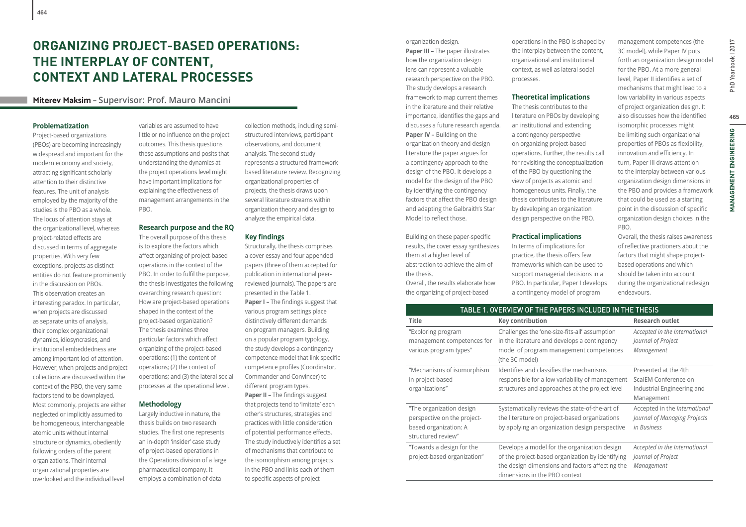# **ORGANIZING PROJECT-BASED OPERATIONS: THE INTERPLAY OF CONTENT, CONTEXT AND LATERAL PROCESSES**

## **Miterev Maksim – Supervisor: Prof. Mauro Mancini**

## **Problematization**

Project-based organizations (PBOs) are becoming increasingly widespread and important for the modern economy and society, attracting significant scholarly attention to their distinctive features. The unit of analysis employed by the majority of the studies is the PBO as a whole. The locus of attention stays at the organizational level, whereas project-related effects are discussed in terms of aggregate properties. With very few exceptions, projects as distinct entities do not feature prominently in the discussion on PBOs. This observation creates an interesting paradox. In particular, when projects are discussed as separate units of analysis, their complex organizational dynamics, idiosyncrasies, and institutional embeddedness are among important loci of attention. However, when projects and project collections are discussed within the context of the PBO, the very same factors tend to be downplayed. Most commonly, projects are either neglected or implicitly assumed to be homogeneous, interchangeable atomic units without internal structure or dynamics, obediently following orders of the parent organizations. Their internal organizational properties are overlooked and the individual level

variables are assumed to have little or no influence on the project outcomes. This thesis questions these assumptions and posits that understanding the dynamics at the project operations level might have important implications for explaining the effectiveness of management arrangements in the PBO.

#### **Research purpose and the RQ**

The overall purpose of this thesis is to explore the factors which affect organizing of project-based operations in the context of the PBO. In order to fulfil the purpose, the thesis investigates the following overarching research question: How are project-based operations shaped in the context of the project-based organization? The thesis examines three particular factors which affect organizing of the project-based operations: (1) the content of operations; (2) the context of operations; and (3) the lateral social processes at the operational level.

## **Methodology**

Largely inductive in nature, the thesis builds on two research studies. The first one represents an in-depth 'insider' case study of project-based operations in the Operations division of a large pharmaceutical company. It employs a combination of data

collection methods, including semistructured interviews, participant observations, and document analysis. The second study represents a structured frameworkbased literature review. Recognizing organizational properties of projects, the thesis draws upon several literature streams within organization theory and design to analyze the empirical data.

## **Key findings**

Structurally, the thesis comprises a cover essay and four appended papers (three of them accepted for publication in international peerreviewed journals). The papers are presented in the Table 1. **Paper I - The findings suggest that** various program settings place distinctively different demands on program managers. Building on a popular program typology, the study develops a contingency competence model that link specific competence profiles (Coordinator, Commander and Convincer) to different program types. **Paper II - The findings suggest** that projects tend to 'imitate' each other's structures, strategies and practices with little consideration of potential performance effects. The study inductively identifies a set of mechanisms that contribute to the isomorphism among projects in the PBO and links each of them to specific aspects of project

organization design. **Paper III –** The paper illustrates how the organization design lens can represent a valuable research perspective on the PBO. The study develops a research framework to map current themes in the literature and their relative importance, identifies the gaps and discusses a future research agenda. **Paper IV –** Building on the organization theory and design literature the paper argues for a contingency approach to the design of the PBO. It develops a model for the design of the PBO by identifying the contingency factors that affect the PBO design and adapting the Galbraith's Star Model to reflect those.

Building on these paper-specific results, the cover essay synthesizes them at a higher level of abstraction to achieve the aim of the thesis.

Overall, the results elaborate how the organizing of project-based

operations in the PBO is shaped by the interplay between the content, organizational and institutional context, as well as lateral social processes.

## **Theoretical implications**

The thesis contributes to the literature on PBOs by developing an institutional and extending a contingency perspective on organizing project-based operations. Further, the results call for revisiting the conceptualization of the PBO by questioning the view of projects as atomic and homogeneous units. Finally, the thesis contributes to the literature by developing an organization design perspective on the PBO.

#### **Practical implications**

In terms of implications for practice, the thesis offers few frameworks which can be used to support managerial decisions in a PBO. In particular, Paper I develops a contingency model of program

management competences (the 3C model), while Paper IV puts forth an organization design model for the PBO. At a more general level, Paper II identifies a set of mechanisms that might lead to a low variability in various aspects of project organization design. It also discusses how the identified isomorphic processes might be limiting such organizational properties of PBOs as flexibility, innovation and efficiency. In turn, Paper III draws attention to the interplay between various organization design dimensions in the PBO and provides a framework that could be used as a starting point in the discussion of specific organization design choices in the PBO.

Overall, the thesis raises awareness of reflective practioners about the factors that might shape projectbased operations and which should be taken into account during the organizational redesign endeavours.

| TABLE 1. OVERVIEW OF THE PAPERS INCLUDED IN THE THESIS |                                                  |                               |  |  |  |  |
|--------------------------------------------------------|--------------------------------------------------|-------------------------------|--|--|--|--|
| <b>Title</b>                                           | <b>Key contribution</b>                          | <b>Research outlet</b>        |  |  |  |  |
| "Exploring program                                     | Challenges the 'one-size-fits-all' assumption    | Accepted in the International |  |  |  |  |
| management competences for                             | in the literature and develops a contingency     | Journal of Project            |  |  |  |  |
| various program types"                                 | model of program management competences          | Management                    |  |  |  |  |
|                                                        | (the 3C model)                                   |                               |  |  |  |  |
| "Mechanisms of isomorphism                             | Identifies and classifies the mechanisms         | Presented at the 4th          |  |  |  |  |
| in project-based                                       | responsible for a low variability of management  | ScalEM Conference on          |  |  |  |  |
| organizations"                                         | structures and approaches at the project level   | Industrial Engineering and    |  |  |  |  |
|                                                        |                                                  | Management                    |  |  |  |  |
| "The organization design                               | Systematically reviews the state-of-the-art of   | Accepted in the International |  |  |  |  |
| perspective on the project-                            | the literature on project-based organizations    | Journal of Managing Projects  |  |  |  |  |
| based organization: A                                  | by applying an organization design perspective   | in Business                   |  |  |  |  |
| structured review"                                     |                                                  |                               |  |  |  |  |
| "Towards a design for the                              | Develops a model for the organization design     | Accepted in the International |  |  |  |  |
| project-based organization"                            | of the project-based organization by identifying | Journal of Project            |  |  |  |  |
|                                                        | the design dimensions and factors affecting the  | Management                    |  |  |  |  |
|                                                        | dimensions in the PBO context                    |                               |  |  |  |  |

465

**MANAGEMENT ENGINEERING**

**MANAGEMENT ENGINEERING**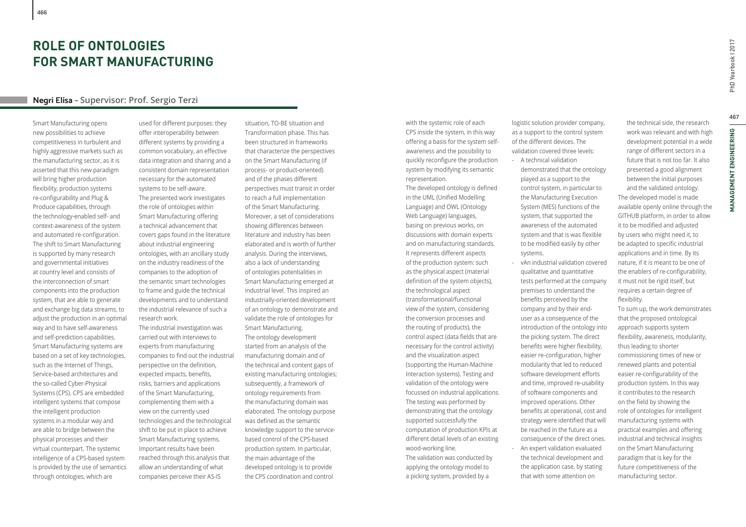# **ROLE OF ONTOLOGIES FOR SMART MANUFACTURING**

## **Negri Elisa – Supervisor: Prof. Sergio Terzi**

Smart Manufacturing opens new possibilities to achieve competitiveness in turbulent and highly aggressive markets such as the manufacturing sector, as it is asserted that this new paradigm will bring higher production flexibility, production systems re-configurability and Plug & Produce capabilities, through the technology-enabled self- and context-awareness of the system and automated re-configuration. The shift to Smart Manufacturing is supported by many research and governmental initiatives at country level and consists of the interconnection of smart components into the production system, that are able to generate and exchange big data streams, to adjust the production in an optimal way and to have self-awareness and self-prediction capabilities. Smart Manufacturing systems are based on a set of key technologies, such as the Internet of Things, Service-based architectures and the so-called Cyber-Physical Systems (CPS). CPS are embedded intelligent systems that compose the intelligent production systems in a modular way and are able to bridge between the physical processes and their virtual counterpart. The systemic intelligence of a CPS-based system is provided by the use of semantics through ontologies, which are

used for different purposes: they offer interoperability between different systems by providing a common vocabulary, an effective data integration and sharing and a consistent domain representation necessary for the automated systems to be self-aware. The presented work investigates the role of ontologies within Smart Manufacturing offering a technical advancement that covers gaps found in the literature about industrial engineering ontologies, with an ancillary study on the industry readiness of the companies to the adoption of the semantic smart technologies to frame and guide the technical developments and to understand the industrial relevance of such a research work. The industrial investigation was carried out with interviews to experts from manufacturing

companies to find out the industrial perspective on the definition, expected impacts, benefits, risks, barriers and applications of the Smart Manufacturing, complementing them with a view on the currently used technologies and the technological shift to be put in place to achieve Smart Manufacturing systems. Important results have been reached through this analysis that allow an understanding of what companies perceive their AS-IS

situation, TO-BE situation and Transformation phase. This has been structured in frameworks that characterize the perspectives on the Smart Manufacturing (if process- or product-oriented) and of the phases different perspectives must transit in order to reach a full implementation of the Smart Manufacturing. Moreover, a set of considerations showing differences between literature and industry has been elaborated and is worth of further analysis. During the interviews, also a lack of understanding of ontologies potentialities in Smart Manufacturing emerged at industrial level. This inspired an industrially-oriented development of an ontology to demonstrate and validate the role of ontologies for Smart Manufacturing. The ontology development started from an analysis of the manufacturing domain and of the technical and content gaps of existing manufacturing ontologies; subsequently, a framework of ontology requirements from the manufacturing domain was elaborated. The ontology purpose was defined as the semantic knowledge support to the servicebased control of the CPS-based production system. In particular, the main advantage of the developed ontology is to provide the CPS coordination and control

with the systemic role of each CPS inside the system, in this way offering a basis for the system selfawareness and the possibility to quickly reconfigure the production system by modifying its semantic representation.

The developed ontology is defined in the UML (Unified Modelling Language) and OWL (Ontology Web Language) languages, basing on previous works, on discussions with domain experts and on manufacturing standards. It represents different aspects of the production system: such as the physical aspect (material definition of the system objects), the technological aspect (transformational/functional view of the system, considering the conversion processes and the routing of products), the control aspect (data fields that are necessary for the control activity) and the visualization aspect (supporting the Human-Machine Interaction systems). Testing and validation of the ontology were focussed on industrial applications. The testing was performed by demonstrating that the ontology supported successfully the computation of production KPIs at different detail levels of an existing wood-working line. The validation was conducted by applying the ontology model to a picking system, provided by a

logistic solution provider company, as a support to the control system of the different devices. The validation covered three levels:

- A technical validation demonstrated that the ontology played as a support to the control system, in particular to the Manufacturing Execution System (MES) functions of the system, that supported the awareness of the automated system and that is was flexible to be modified easily by other systems.
- vAn industrial validation covered qualitative and quantitative tests performed at the company premises to understand the benefits perceived by the company and by their enduser as a consequence of the introduction of the ontology into the picking system. The direct benefits were higher flexibility, easier re-configuration, higher modularity that led to reduced software development efforts and time, improved re-usability of software components and improved operations. Other benefits at operational, cost and strategy were identified that will be reached in the future as a consequence of the direct ones. - An expert validation evaluated the technical development and the application case, by stating that with some attention on

the technical side, the research work was relevant and with high development potential in a wide range of different sectors in a future that is not too far. It also presented a good alignment between the initial purposes

and the validated ontology. The developed model is made available openly online through the GITHUB platform, in order to allow it to be modified and adjusted by users who might need it, to be adapted to specific industrial applications and in time. By its nature, if it is meant to be one of the enablers of re-configurability, it must not be rigid itself, but requires a certain degree of flexibility.

To sum up, the work demonstrates that the proposed ontological approach supports system flexibility, awareness, modularity, thus leading to shorter commissioning times of new or renewed plants and potential easier re-configurability of the production system. In this way it contributes to the research on the field by showing the role of ontologies for intelligent manufacturing systems with practical examples and offering industrial and technical insights on the Smart Manufacturing paradigm that is key for the future competitiveness of the manufacturing sector.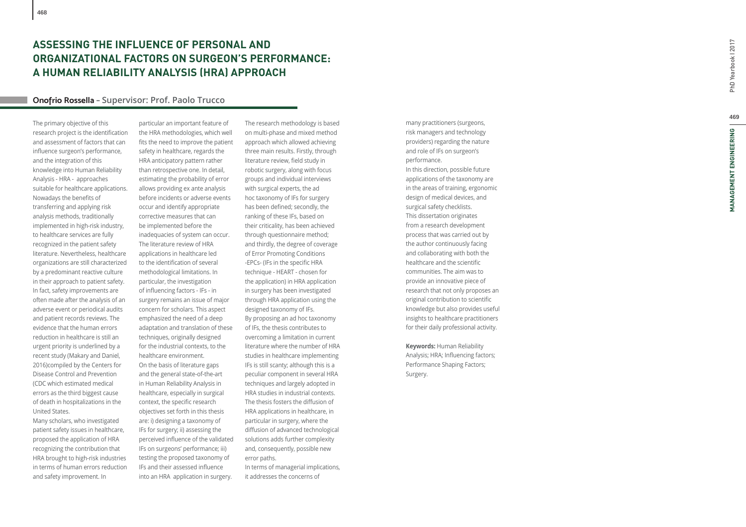## **ASSESSING THE INFLUENCE OF PERSONAL AND ORGANIZATIONAL FACTORS ON SURGEON'S PERFORMANCE: A HUMAN RELIABILITY ANALYSIS (HRA) APPROACH**

## **Onofrio Rossella – Supervisor: Prof. Paolo Trucco**

The primary objective of this research project is the identification and assessment of factors that can in fl uence surgeon's performance, and the integration of this knowledge into Human Reliability Analysis - HRA - approaches suitable for healthcare applications. Nowadays the benefits of transferring and applying risk analysis methods, traditionally implemented in high-risk industry, to healthcare services are fully recognized in the patient safety literature. Nevertheless, healthcare organizations are still characterized by a predominant reactive culture in their approach to patient safety. In fact, safety improvements are often made after the analysis of an adverse event or periodical audits and patient records reviews. The evidence that the human errors reduction in healthcare is still an urgent priority is underlined by a recent study (Makary and Daniel, 2016)compiled by the Centers for Disease Control and Prevention (CDC which estimated medical errors as the third biggest cause of death in hospitalizations in the United States.

Many scholars, who investigated patient safety issues in healthcare, proposed the application of HRA recognizing the contribution that HRA brought to high-risk industries in terms of human errors reduction and safety improvement. In

particular an important feature of the HRA methodologies, which well<br>fits the need to improve the patient safety in healthcare, regards the HRA anticipatory pattern rather than retrospective one. In detail, estimating the probability of error allows providing ex ante analysis before incidents or adverse events occur and identify appropriate corrective measures that can be implemented before the inadequacies of system can occur. The literature review of HRA applications in healthcare led to the identification of several methodological limitations. In particular, the investigation of in fl uencing factors - IFs - in surgery remains an issue of major concern for scholars. This aspect emphasized the need of a deep adaptation and translation of these techniques, originally designed for the industrial contexts, to the healthcare environment. On the basis of literature gaps and the general state-of-the-art in Human Reliability Analysis in healthcare, especially in surgical context, the speci fi c research objectives set forth in this thesis are: i) designing a taxonomy of IFs for surgery; ii) assessing the perceived in fl uence of the validated IFs on surgeons' performance; iii) testing the proposed taxonomy of IFs and their assessed in fl uence into an HRA application in surgery.

The research methodology is based on multi-phase and mixed method approach which allowed achieving three main results. Firstly, through literature review, field study in robotic surgery, along with focus groups and individual interviews with surgical experts, the ad hoc taxonomy of IFs for surgery has been de fi ned; secondly, the ranking of these IFs, based on their criticality, has been achieved through questionnaire method; and thirdly, the degree of coverage of Error Promoting Conditions -EPCs- (IFs in the speci fi c HRA technique - HEART - chosen for the application) in HRA application in surgery has been investigated through HRA application using the designed taxonomy of IFs. By proposing an ad hoc taxonomy of IFs, the thesis contributes to overcoming a limitation in current literature where the number of HRA studies in healthcare implementing IFs is still scanty; although this is a peculiar component in several HRA techniques and largely adopted in HRA studies in industrial contexts. The thesis fosters the diffusion of HRA applications in healthcare, in particular in surgery, where the diffusion of advanced technological solutions adds further complexity and, consequently, possible new error paths. In terms of managerial implications, it addresses the concerns of

many practitioners (surgeons, risk managers and technology providers) regarding the nature and role of IFs on surgeon's performance. In this direction, possible future applications of the taxonomy are in the areas of training, ergonomic design of medical devices, and surgical safety checklists. This dissertation originates from a research development process that was carried out by the author continuously facing and collaborating with both the healthcare and the scienti fi c communities. The aim was to provide an innovative piece of research that not only proposes an original contribution to scienti fi c knowledge but also provides useful insights to healthcare practitioners for their daily professional activity.

**Keywords:** Human Reliability Analysis; HRA; Influencing factors; Performance Shaping Factors; Surgery.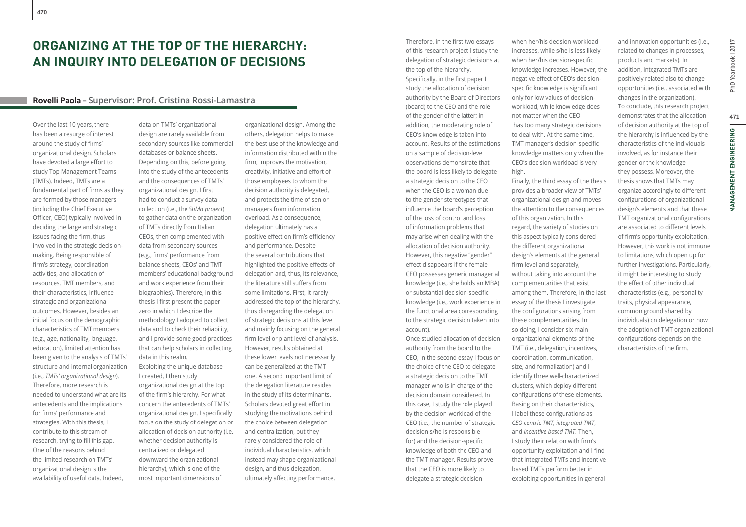## **Rovelli Paola – Supervisor: Prof. Cristina Rossi-Lamastra**

Over the last 10 years, there has been a resurge of interest around the study of firms' organizational design. Scholars have devoted a large effort to study Top Management Teams (TMTs). Indeed, TMTs are a fundamental part of firms as they are formed by those managers (including the Chief Executive Officer, CEO) typically involved in deciding the large and strategic issues facing the firm, thus involved in the strategic decisionmaking. Being responsible of firm's strategy, coordination activities, and allocation of resources, TMT members, and their characteristics, influence strategic and organizational outcomes. However, besides an initial focus on the demographic characteristics of TMT members (e.g., age, nationality, language, education), limited attention has been given to the analysis of TMTs' structure and internal organization (i.e., *TMTs' organizational design*). Therefore, more research is needed to understand what are its antecedents and the implications for firms' performance and strategies. With this thesis, I contribute to this stream of research, trying to fill this gap. One of the reasons behind the limited research on TMTs' organizational design is the availability of useful data. Indeed,

**470**

data on TMTs' organizational design are rarely available from secondary sources like commercial databases or balance sheets. Depending on this, before going into the study of the antecedents and the consequences of TMTs' organizational design, I first had to conduct a survey data collection (i.e., the *StiMa project*) to gather data on the organization of TMTs directly from Italian CEOs, then complemented with data from secondary sources (e.g., firms' performance from balance sheets, CEOs' and TMT members' educational background and work experience from their biographies). Therefore, in this thesis I first present the paper zero in which I describe the methodology I adopted to collect data and to check their reliability, and I provide some good practices that can help scholars in collecting data in this realm. Exploiting the unique database I created, I then study organizational design at the top of the firm's hierarchy. For what concern the antecedents of TMTs' organizational design, I specifically focus on the study of delegation or

allocation of decision authority (i.e. whether decision authority is centralized or delegated downward the organizational hierarchy), which is one of the most important dimensions of

organizational design. Among the others, delegation helps to make the best use of the knowledge and information distributed within the firm, improves the motivation, creativity, initiative and effort of those employees to whom the decision authority is delegated, and protects the time of senior managers from information overload. As a consequence, delegation ultimately has a positive effect on firm's efficiency and performance. Despite the several contributions that highlighted the positive effects of delegation and, thus, its relevance, the literature still suffers from some limitations. First, it rarely addressed the top of the hierarchy, thus disregarding the delegation of strategic decisions at this level and mainly focusing on the general firm level or plant level of analysis. However, results obtained at these lower levels not necessarily can be generalized at the TMT one. A second important limit of the delegation literature resides in the study of its determinants. Scholars devoted great effort in studying the motivations behind the choice between delegation and centralization, but they rarely considered the role of individual characteristics, which instead may shape organizational design, and thus delegation, ultimately affecting performance.

Therefore, in the first two essays of this research project I study the delegation of strategic decisions at the top of the hierarchy. Specifically, in the first paper I study the allocation of decision authority by the Board of Directors (board) to the CEO and the role of the gender of the latter; in addition, the moderating role of CEO's knowledge is taken into account. Results of the estimations on a sample of decision-level observations demonstrate that the board is less likely to delegate a strategic decision to the CEO when the CEO is a woman due to the gender stereotypes that influence the board's perception of the loss of control and loss of information problems that may arise when dealing with the allocation of decision authority. However, this negative "gender" effect disappears if the female CEO possesses generic managerial knowledge (i.e., she holds an MBA) or substantial decision-specific knowledge (i.e., work experience in the functional area corresponding to the strategic decision taken into account). Once studied allocation of decision authority from the board to the CEO, in the second essay I focus on

the choice of the CEO to delegate a strategic decision to the TMT manager who is in charge of the decision domain considered. In this case, I study the role played by the decision-workload of the CEO (i.e., the number of strategic decision s/he is responsible for) and the decision-specific knowledge of both the CEO and the TMT manager. Results prove that the CEO is more likely to delegate a strategic decision

when her/his decision-workload increases, while s/he is less likely when her/his decision-specific knowledge increases. However, the negative effect of CEO's decisionspecific knowledge is significant only for low values of decisionworkload, while knowledge does not matter when the CEO has too many strategic decisions to deal with. At the same time, TMT manager's decision-specific knowledge matters only when the CEO's decision-workload is very high.

Finally, the third essay of the thesis provides a broader view of TMTs' organizational design and moves the attention to the consequences of this organization. In this regard, the variety of studies on this aspect typically considered the different organizational design's elements at the general firm level and separately, without taking into account the complementarities that exist among them. Therefore, in the last essay of the thesis I investigate the configurations arising from these complementarities. In so doing, I consider six main organizational elements of the TMT (i.e., delegation, incentives, coordination, communication, size, and formalization) and I identify three well-characterized clusters, which deploy different configurations of these elements. Basing on their characteristics, I label these configurations as *CEO centric TMT, integrated TMT*, and *incentive based TMT*. Then, I study their relation with firm's opportunity exploitation and I find that integrated TMTs and incentive based TMTs perform better in

exploiting opportunities in general

and innovation opportunities (i.e., related to changes in processes, products and markets). In addition, integrated TMTs are positively related also to change opportunities (i.e., associated with changes in the organization). To conclude, this research project demonstrates that the allocation of decision authority at the top of the hierarchy is influenced by the characteristics of the individuals involved, as for instance their gender or the knowledge they possess. Moreover, the thesis shows that TMTs may organize accordingly to different configurations of organizational design's elements and that these TMT organizational configurations are associated to different levels of firm's opportunity exploitation. However, this work is not immune to limitations, which open up for further investigations. Particularly, it might be interesting to study the effect of other individual characteristics (e.g., personality traits, physical appearance, common ground shared by individuals) on delegation or how the adoption of TMT organizational configurations depends on the characteristics of the firm.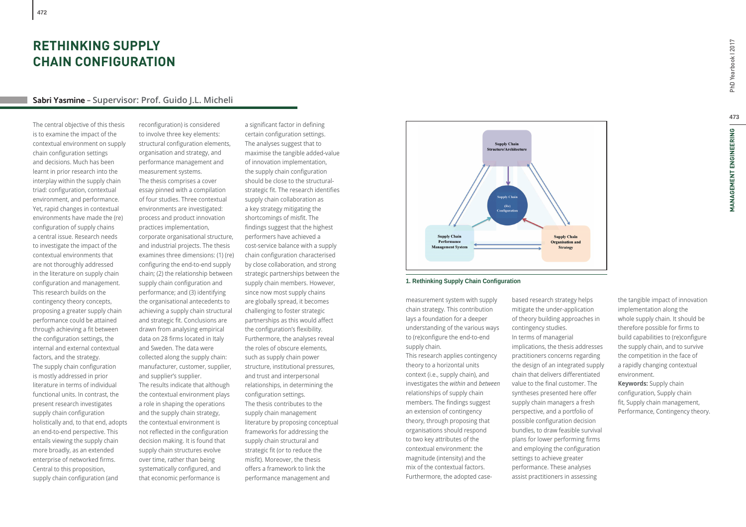# **RETHINKING SUPPLY CHAIN CONFIGURATION**

## **Sabri Yasmine – Supervisor: Prof. Guido J.L. Micheli**

The central objective of this thesis is to examine the impact of the contextual environment on supply chain configuration settings and decisions. Much has been learnt in prior research into the interplay within the supply chain triad: configuration, contextual environment, and performance. Yet, rapid changes in contextual environments have made the (re) configuration of supply chains a central issue. Research needs to investigate the impact of the contextual environments that are not thoroughly addressed in the literature on supply chain configuration and management. This research builds on the contingency theory concepts, proposing a greater supply chain performance could be attained through achieving a fit between the configuration settings, the internal and external contextual factors, and the strategy. The supply chain configuration is mostly addressed in prior literature in terms of individual functional units. In contrast, the present research investigates supply chain configuration holistically and, to that end, adopts an end-to-end perspective. This entails viewing the supply chain more broadly, as an extended enterprise of networked firms. Central to this proposition, supply chain configuration (and

reconfiguration) is considered to involve three key elements: structural configuration elements, organisation and strategy, and performance management and measurement systems. The thesis comprises a cover essay pinned with a compilation of four studies. Three contextual environments are investigated: process and product innovation practices implementation, corporate organisational structure, and industrial projects. The thesis examines three dimensions: (1) (re) configuring the end-to-end supply chain; (2) the relationship between supply chain configuration and performance; and (3) identifying the organisational antecedents to achieving a supply chain structural and strategic fit. Conclusions are drawn from analysing empirical data on 28 firms located in Italy and Sweden. The data were collected along the supply chain: manufacturer, customer, supplier, and supplier's supplier. The results indicate that although the contextual environment plays a role in shaping the operations and the supply chain strategy, the contextual environment is not reflected in the configuration decision making. It is found that supply chain structures evolve over time, rather than being

systematically configured, and that economic performance is

a significant factor in defining certain configuration settings. The analyses suggest that to maximise the tangible added-value of innovation implementation, the supply chain configuration should be close to the structuralstrategic fit. The research identifies supply chain collaboration as a key strategy mitigating the shortcomings of misfit. The findings suggest that the highest performers have achieved a cost-service balance with a supply chain configuration characterised by close collaboration, and strong strategic partnerships between the supply chain members. However, since now most supply chains are globally spread, it becomes challenging to foster strategic partnerships as this would affect the configuration's flexibility. Furthermore, the analyses reveal the roles of obscure elements, such as supply chain power structure, institutional pressures, and trust and interpersonal relationships, in determining the configuration settings. The thesis contributes to the supply chain management literature by proposing conceptual frameworks for addressing the supply chain structural and strategic fit (or to reduce the misfit). Moreover, the thesis offers a framework to link the performance management and



## **1. Rethinking Supply Chain Configuration**

measurement system with supply chain strategy. This contribution lays a foundation for a deeper understanding of the various ways to (re)configure the end-to-end supply chain. This research applies contingency theory to a horizontal units context (i.e., supply chain), and investigates the *within* and *between* relationships of supply chain members. The findings suggest an extension of contingency theory, through proposing that organisations should respond to two key attributes of the contextual environment: the magnitude (intensity) and the mix of the contextual factors.

Furthermore, the adopted case-

based research strategy helps mitigate the under-application of theory building approaches in contingency studies. In terms of managerial implications, the thesis addresses practitioners concerns regarding the design of an integrated supply chain that delivers differentiated value to the final customer. The syntheses presented here offer supply chain managers a fresh perspective, and a portfolio of possible configuration decision bundles, to draw feasible survival plans for lower performing firms and employing the configuration settings to achieve greater performance. These analyses assist practitioners in assessing

the tangible impact of innovation implementation along the whole supply chain. It should be therefore possible for firms to build capabilities to (re)configure the supply chain, and to survive the competition in the face of a rapidly changing contextual environment.

**Keywords:** Supply chain configuration, Supply chain fit, Supply chain management, Performance, Contingency theory.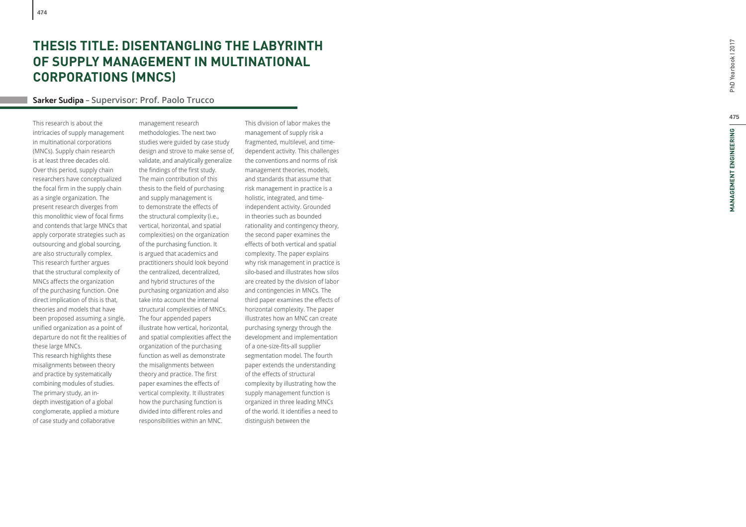# **THESIS TITLE: DISENTANGLING THE LABYRINTH OF SUPPLY MANAGEMENT IN MULTINATIONAL CORPORATIONS (MNCS)**

## **Sarker Sudipa – Supervisor: Prof. Paolo Trucco**

This research is about the intricacies of supply management in multinational corporations (MNCs). Supply chain research is at least three decades old. Over this period, supply chain researchers have conceptualized the focal firm in the supply chain  $\;$ as a single organization. The present research diverges from this monolithic view of focal fi rms and contends that large MNCs that apply corporate strategies such as outsourcing and global sourcing, are also structurally complex. This research further argues that the structural complexity of MNCs a ff ects the organization of the purchasing function. One direct implication of this is that, theories and models that have been proposed assuming a single, uni fi ed organization as a point of departure do not fit the realities of these large MNCs. This research highlights these misalignments between theory and practice by systematically combining modules of studies. The primary study, an indepth investigation of a global conglomerate, applied a mixture of case study and collaborative

management research methodologies. The next two studies were guided by case study design and strove to make sense of, validate, and analytically generalize the findings of the first study. The main contribution of this thesis to the field of purchasing and supply management is to demonstrate the effects of the structural complexity (i.e., vertical, horizontal, and spatial complexities) on the organization of the purchasing function. It is argued that academics and practitioners should look beyond the centralized, decentralized, and hybrid structures of the purchasing organization and also take into account the internal structural complexities of MNCs. The four appended papers illustrate how vertical, horizontal, and spatial complexities affect the organization of the purchasing function as well as demonstrate the misalignments between theory and practice. The first paper examines the effects of vertical complexity. It illustrates how the purchasing function is divided into different roles and responsibilities within an MNC.

This division of labor makes the management of supply risk a fragmented, multilevel, and timedependent activity. This challenges the conventions and norms of risk management theories, models, and standards that assume that risk management in practice is a holistic, integrated, and timeindependent activity. Grounded in theories such as bounded rationality and contingency theory, the second paper examines the<br>effects of both vertical and spatial complexity. The paper explains why risk management in practice is silo-based and illustrates how silos are created by the division of labor and contingencies in MNCs. The third paper examines the effects of horizontal complexity. The paper illustrates how an MNC can create purchasing synergy through the development and implementation of a one-size-fits-all supplier segmentation model. The fourth paper extends the understanding of the effects of structural complexity by illustrating how the supply management function is organized in three leading MNCs of the world. It identifies a need to distinguish between the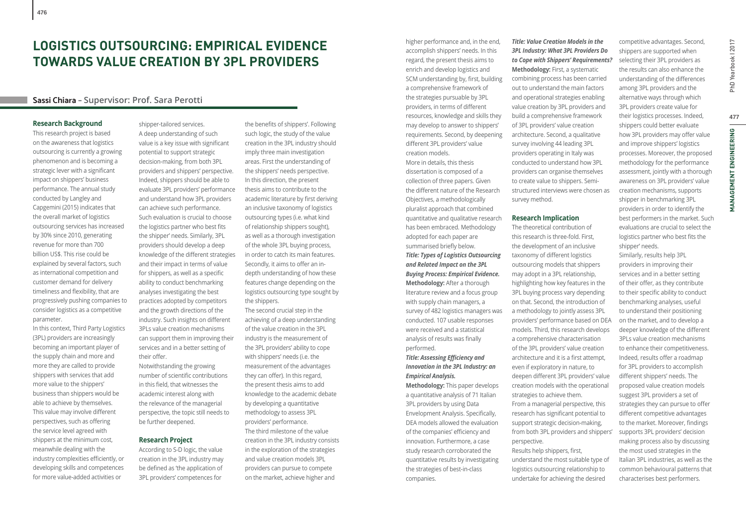# **LOGISTICS OUTSOURCING: EMPIRICAL EVIDENCE TOWARDS VALUE CREATION BY 3PL PROVIDERS**

## **Sassi Chiara – Supervisor: Prof. Sara Perotti**

## **Research Background**

This research project is based on the awareness that logistics outsourcing is currently a growing phenomenon and is becoming a strategic lever with a significant impact on shippers' business performance. The annual study conducted by Langley and Capgemini (2015) indicates that the overall market of logistics outsourcing services has increased by 30% since 2010, generating revenue for more than 700 billion US\$. This rise could be explained by several factors, such as international competition and customer demand for delivery timeliness and flexibility, that are progressively pushing companies to consider logistics as a competitive parameter.

In this context, Third Party Logistics (3PL) providers are increasingly becoming an important player of the supply chain and more and more they are called to provide shippers with services that add more value to the shippers' business than shippers would be able to achieve by themselves. This value may involve different perspectives, such as offering the service level agreed with shippers at the minimum cost, meanwhile dealing with the industry complexities efficiently, or developing skills and competences for more value-added activities or

shipper-tailored services. A deep understanding of such value is a key issue with significant potential to support strategic decision-making, from both 3PL providers and shippers' perspective. Indeed, shippers should be able to evaluate 3PL providers' performance and understand how 3PL providers can achieve such performance. Such evaluation is crucial to choose the logistics partner who best fits the shipper' needs. Similarly, 3PL providers should develop a deep knowledge of the different strategies and their impact in terms of value for shippers, as well as a specific ability to conduct benchmarking analyses investigating the best practices adopted by competitors and the growth directions of the industry. Such insights on different 3PLs value creation mechanisms can support them in improving their services and in a better setting of their offer. Notwithstanding the growing

number of scientific contributions in this field, that witnesses the academic interest along with the relevance of the managerial perspective, the topic still needs to be further deepened.

## **Research Project**

According to S-D logic, the value creation in the 3PL industry may be defined as 'the application of 3PL providers' competences for

the benefits of shippers'. Following such logic, the study of the value creation in the 3PL industry should imply three main investigation areas. First the understanding of the shippers' needs perspective. In this direction, the present thesis aims to contribute to the academic literature by first deriving an inclusive taxonomy of logistics outsourcing types (i.e. what kind of relationship shippers sought), as well as a thorough investigation of the whole 3PL buying process, in order to catch its main features. Secondly, it aims to offer an indepth understanding of how these features change depending on the logistics outsourcing type sought by the shippers.

The second crucial step in the achieving of a deep understanding of the value creation in the 3PL industry is the measurement of the 3PL providers' ability to cope with shippers' needs (i.e. the measurement of the advantages they can offer). In this regard, the present thesis aims to add knowledge to the academic debate by developing a quantitative methodology to assess 3PL providers' performance. The third milestone of the value creation in the 3PL industry consists in the exploration of the strategies and value creation models 3PL providers can pursue to compete on the market, achieve higher and

higher performance and, in the end, accomplish shippers' needs. In this regard, the present thesis aims to enrich and develop logistics and SCM understanding by, first, building a comprehensive framework of the strategies pursuable by 3PL providers, in terms of different resources, knowledge and skills they may develop to answer to shippers' requirements. Second, by deepening different 3PL providers' value creation models.

More in details, this thesis dissertation is composed of a collection of three papers. Given the different nature of the Research Objectives, a methodologically pluralist approach that combined quantitative and qualitative research has been embraced. Methodology adopted for each paper are summarised briefly below. *Title: Types of Logistics Outsourcing and Related Impact on the 3PL Buying Process: Empirical Evidence.* **Methodology:** After a thorough literature review and a focus group with supply chain managers, a survey of 482 logistics managers was conducted. 107 usable responses were received and a statistical analysis of results was finally performed.

## **Title: Assessing Efficiency and** *Innovation in the 3PL Industry: an Empirical Analysis.*

**Methodology:** This paper develops a quantitative analysis of 71 Italian 3PL providers by using Data Envelopment Analysis. Specifically, DEA models allowed the evaluation of the companies' efficiency and innovation. Furthermore, a case study research corroborated the quantitative results by investigating the strategies of best-in-class companies.

## *Title: Value Creation Models in the 3PL Industry: What 3PL Providers Do to Cope with Shippers' Requirements?* **Methodology:** First, a systematic combining process has been carried

out to understand the main factors and operational strategies enabling value creation by 3PL providers and build a comprehensive framework of 3PL providers' value creation architecture. Second, a qualitative survey involving 44 leading 3PL providers operating in Italy was conducted to understand how 3PL providers can organise themselves to create value to shippers. Semistructured interviews were chosen as survey method.

## **Research Implication**

The theoretical contribution of this research is three-fold. First, the development of an inclusive taxonomy of different logistics outsourcing models that shippers may adopt in a 3PL relationship, highlighting how key features in the 3PL buying process vary depending on that. Second, the introduction of a methodology to jointly assess 3PL providers' performance based on DEA models. Third, this research develops a comprehensive characterisation of the 3PL providers' value creation architecture and it is a first attempt, even if exploratory in nature, to deepen different 3PL providers' value creation models with the operational strategies to achieve them. From a managerial perspective, this research has significant potential to support strategic decision-making, from both 3PL providers and shippers' perspective.

Results help shippers, first, understand the most suitable type of logistics outsourcing relationship to undertake for achieving the desired

shippers are supported when selecting their 3PL providers as the results can also enhance the understanding of the differences among 3PL providers and the alternative ways through which 3PL providers create value for their logistics processes. Indeed, shippers could better evaluate how 3PL providers may offer value and improve shippers' logistics processes. Moreover, the proposed methodology for the performance assessment, jointly with a thorough awareness on 3PL providers' value creation mechanisms, supports shipper in benchmarking 3PL providers in order to identify the best performers in the market. Such evaluations are crucial to select the logistics partner who best fits the

shipper' needs.

competitive advantages. Second,

Similarly, results help 3PL providers in improving their services and in a better setting of their offer, as they contribute to their specific ability to conduct benchmarking analyses, useful to understand their positioning on the market, and to develop a deeper knowledge of the different 3PLs value creation mechanisms to enhance their competitiveness. Indeed, results offer a roadmap for 3PL providers to accomplish different shippers' needs. The proposed value creation models suggest 3PL providers a set of strategies they can pursue to offer different competitive advantages to the market. Moreover, findings supports 3PL providers' decision making process also by discussing the most used strategies in the Italian 3PL industries, as well as the common behavioural patterns that characterises best performers.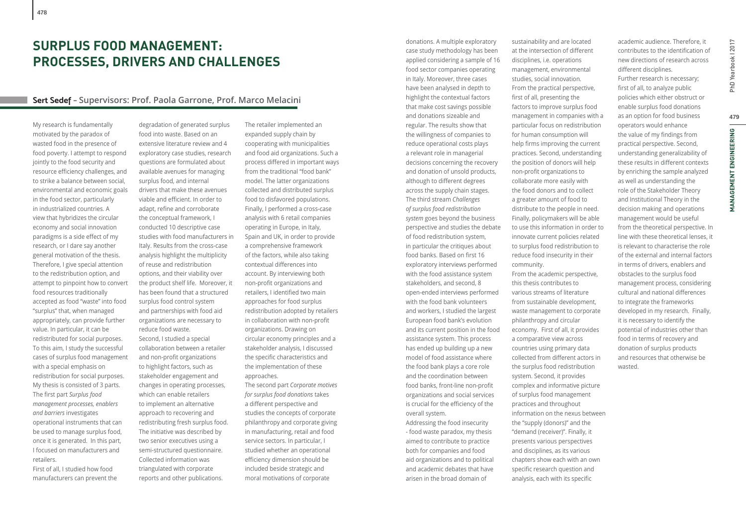# **SURPLUS FOOD MANAGEMENT: PROCESSES, DRIVERS AND CHALLENGES**

## **Sert Sedef – Supervisors: Prof. Paola Garrone, Prof. Marco Melacini**

My research is fundamentally motivated by the paradox of wasted food in the presence of food poverty. I attempt to respond jointly to the food security and resource efficiency challenges, and to strike a balance between social, environmental and economic goals in the food sector, particularly in industrialized countries. A view that hybridizes the circular economy and social innovation paradigms is a side effect of my research, or I dare say another general motivation of the thesis. Therefore, I give special attention to the redistribution option, and attempt to pinpoint how to convert food resources traditionally accepted as food "waste" into food "surplus" that, when managed appropriately, can provide further value. In particular, it can be redistributed for social purposes. To this aim, I study the successful cases of surplus food management with a special emphasis on redistribution for social purposes. My thesis is consisted of 3 parts. The first part *Surplus food management processes, enablers and barriers* investigates operational instruments that can be used to manage surplus food, once it is generated. In this part, I focused on manufacturers and retailers.

First of all, I studied how food manufacturers can prevent the

degradation of generated surplus food into waste. Based on an extensive literature review and 4 exploratory case studies, research questions are formulated about available avenues for managing surplus food, and internal drivers that make these avenues viable and efficient. In order to adapt, refine and corroborate the conceptual framework, I conducted 10 descriptive case studies with food manufacturers in Italy. Results from the cross-case analysis highlight the multiplicity of reuse and redistribution options, and their viability over the product shelf life. Moreover, it has been found that a structured surplus food control system and partnerships with food aid organizations are necessary to reduce food waste. Second, I studied a special collaboration between a retailer and non-profit organizations to highlight factors, such as stakeholder engagement and changes in operating processes, which can enable retailers to implement an alternative approach to recovering and redistributing fresh surplus food. The initiative was described by two senior executives using a semi-structured questionnaire. Collected information was triangulated with corporate reports and other publications.

The retailer implemented an expanded supply chain by cooperating with municipalities and food aid organizations. Such a process differed in important ways from the traditional "food bank" model. The latter organizations collected and distributed surplus food to disfavored populations. Finally, I performed a cross-case analysis with 6 retail companies operating in Europe, in Italy, Spain and UK, in order to provide a comprehensive framework of the factors, while also taking contextual differences into account. By interviewing both non-profit organizations and retailers, I identified two main approaches for food surplus redistribution adopted by retailers in collaboration with non-profit organizations. Drawing on circular economy principles and a stakeholder analysis, I discussed the specific characteristics and the implementation of these approaches. The second part *Corporate motives for surplus food donations* takes a different perspective and studies the concepts of corporate philanthropy and corporate giving in manufacturing, retail and food service sectors. In particular, I studied whether an operational efficiency dimension should be included beside strategic and

moral motivations of corporate

donations. A multiple exploratory case study methodology has been applied considering a sample of 16 food sector companies operating in Italy. Moreover, three cases have been analysed in depth to highlight the contextual factors that make cost savings possible and donations sizeable and regular. The results show that the willingness of companies to reduce operational costs plays a relevant role in managerial decisions concerning the recovery and donation of unsold products, although to different degrees across the supply chain stages. The third stream *Challenges of surplus food redistribution system* goes beyond the business perspective and studies the debate of food redistribution system, in particular the critiques about food banks. Based on first 16 exploratory interviews performed with the food assistance system stakeholders, and second, 8 open-ended interviews performed with the food bank volunteers and workers, I studied the largest European food bank's evolution and its current position in the food assistance system. This process has ended up building up a new model of food assistance where the food bank plays a core role and the coordination between food banks, front-line non-profit organizations and social services is crucial for the efficiency of the overall system. Addressing the food insecurity - food waste paradox, my thesis aimed to contribute to practice both for companies and food aid organizations and to political and academic debates that have

arisen in the broad domain of

sustainability and are located at the intersection of different disciplines, i.e. operations management, environmental studies, social innovation. From the practical perspective, first of all, presenting the factors to improve surplus food management in companies with a particular focus on redistribution for human consumption will help firms improving the current practices. Second, understanding the position of donors will help non-profit organizations to collaborate more easily with the food donors and to collect a greater amount of food to distribute to the people in need. Finally, policymakers will be able to use this information in order to innovate current policies related to surplus food redistribution to reduce food insecurity in their community. From the academic perspective, this thesis contributes to various streams of literature from sustainable development, waste management to corporate philanthropy and circular economy. First of all, it provides a comparative view across countries using primary data collected from different actors in the surplus food redistribution system. Second, it provides complex and informative picture of surplus food management practices and throughout information on the nexus between the "supply (donors)" and the "demand (receiver)". Finally, it presents various perspectives and disciplines, as its various chapters show each with an own specific research question and

analysis, each with its specific

academic audience. Therefore, it contributes to the identification of new directions of research across different disciplines. Further research is necessary; first of all, to analyze public policies which either obstruct or enable surplus food donations as an option for food business operators would enhance the value of my findings from practical perspective. Second, understanding generalizability of these results in different contexts by enriching the sample analyzed as well as understanding the role of the Stakeholder Theory and Institutional Theory in the decision making and operations management would be useful from the theoretical perspective. In line with these theoretical lenses, it is relevant to characterise the role of the external and internal factors in terms of drivers, enablers and obstacles to the surplus food management process, considering cultural and national differences to integrate the frameworks developed in my research. Finally, it is necessary to identify the potential of industries other than food in terms of recovery and donation of surplus products and resources that otherwise be wasted.